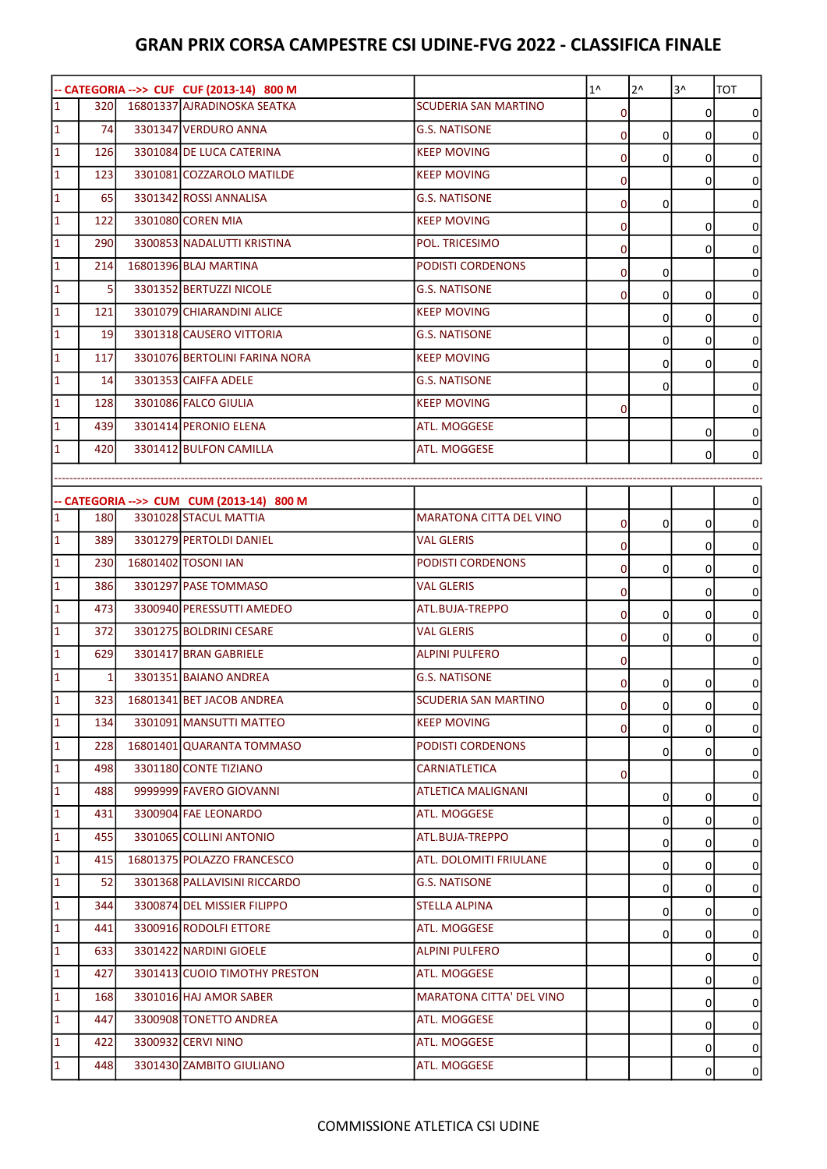| 16801337 AJRADINOSKA SEATKA<br><b>SCUDERIA SAN MARTINO</b><br>320I<br><sub>0</sub><br>$\Omega$<br>0<br>3301347 VERDURO ANNA<br>74<br><b>G.S. NATISONE</b><br>οI<br>0<br>0<br>0<br>126<br>3301084 DE LUCA CATERINA<br><b>KEEP MOVING</b><br>$\overline{0}$<br>0<br>0<br>0<br>123<br>3301081 COZZAROLO MATILDE<br><b>KEEP MOVING</b><br>$\mathbf 0$<br>0<br>0<br>3301342 ROSSI ANNALISA<br>65<br><b>G.S. NATISONE</b><br>0<br>0<br>0<br>3301080 COREN MIA<br>122<br><b>KEEP MOVING</b><br>$\overline{0}$<br>0<br>0<br>3300853 NADALUTTI KRISTINA<br>290<br>POL. TRICESIMO<br>$\overline{0}$<br>0<br>0<br>16801396 BLAJ MARTINA<br>PODISTI CORDENONS<br>214<br>$\overline{0}$<br>$\mathbf 0$<br>0<br>$\overline{5}$<br>3301352 BERTUZZI NICOLE<br><b>G.S. NATISONE</b><br>οI<br>0<br>0<br>0<br>3301079 CHIARANDINI ALICE<br>121<br><b>KEEP MOVING</b><br>0<br>0<br>0<br>19<br>3301318 CAUSERO VITTORIA<br><b>G.S. NATISONE</b><br>0<br>0<br>0<br>3301076 BERTOLINI FARINA NORA<br>117<br><b>KEEP MOVING</b><br>0<br>0<br>0<br>3301353 CAIFFA ADELE<br><b>G.S. NATISONE</b><br>14<br>0<br>0<br>3301086 FALCO GIULIA<br>128<br><b>KEEP MOVING</b><br>$\overline{0}$<br>0<br>3301414 PERONIO ELENA<br>439<br>ATL. MOGGESE<br>0<br>0<br>3301412 BULFON CAMILLA<br>ATL. MOGGESE<br>420<br>$\overline{0}$<br>0<br>-- CATEGORIA -->> CUM CUM (2013-14) 800 M<br>0<br>3301028 STACUL MATTIA<br>180<br><b>MARATONA CITTA DEL VINO</b><br>$\mathbf 0$<br>0<br>0<br>0<br>3301279 PERTOLDI DANIEL<br>389l<br><b>VAL GLERIS</b><br>$\overline{0}$<br>0<br>0<br>16801402 TOSONI IAN<br><b>PODISTI CORDENONS</b><br><b>230</b><br>0<br>0<br>0<br>0<br>386<br>3301297 PASE TOMMASO<br><b>VAL GLERIS</b><br>$\overline{0}$<br>0<br>0<br>3300940 PERESSUTTI AMEDEO<br>473<br>ATL.BUJA-TREPPO<br>$\mathbf 0$<br>0<br>0<br>0<br>372<br>3301275 BOLDRINI CESARE<br><b>VAL GLERIS</b><br>οI<br>0<br>0<br>0<br>629<br>3301417 BRAN GABRIELE<br><b>ALPINI PULFERO</b><br>$\overline{0}$<br>0<br>3301351 BAIANO ANDREA<br><b>G.S. NATISONE</b><br>$\mathbf{1}$<br>οI<br>0<br>$\Omega$<br>0<br>323 16801341 BET JACOB ANDREA<br><b>SCUDERIA SAN MARTINO</b><br>01<br>$\overline{0}$<br>$\Omega$<br>$\Omega$<br><b>134</b><br>3301091 MANSUTTI MATTEO<br><b>KEEP MOVING</b><br>01<br>0<br>$\Omega$<br>0<br>228<br>16801401 QUARANTA TOMMASO<br>PODISTI CORDENONS<br>0<br>0<br>0<br>498<br>3301180 CONTE TIZIANO<br>CARNIATLETICA<br>01<br>0<br>9999999 FAVERO GIOVANNI<br>488<br>ATLETICA MALIGNANI<br>0<br>0<br>0<br>3300904 FAE LEONARDO<br>ATL. MOGGESE<br>431<br>0<br>0<br>0<br>3301065 COLLINI ANTONIO<br>ATL.BUJA-TREPPO<br>455<br>0<br>0<br>0<br>16801375 POLAZZO FRANCESCO<br>ATL. DOLOMITI FRIULANE<br>415<br>0<br>0<br>0<br>3301368 PALLAVISINI RICCARDO<br>52<br><b>G.S. NATISONE</b><br>0<br>0<br>0<br>3300874 DEL MISSIER FILIPPO<br><b>STELLA ALPINA</b><br>344<br>0<br>0<br>0<br>3300916 RODOLFI ETTORE<br>441<br>ATL. MOGGESE<br>0<br>0<br>0<br>3301422 NARDINI GIOELE<br><b>ALPINI PULFERO</b><br>633<br>0<br>0<br>3301413 CUOIO TIMOTHY PRESTON<br>ATL. MOGGESE<br>427<br>0<br>0<br>3301016 HAJ AMOR SABER<br>MARATONA CITTA' DEL VINO<br>168<br>0<br>0<br>3300908 TONETTO ANDREA<br>447<br>ATL. MOGGESE<br>0<br>0<br>3300932 CERVI NINO<br>422<br>ATL. MOGGESE<br>0<br>0<br>3301430 ZAMBITO GIULIANO<br>448<br>ATL. MOGGESE<br>$\Omega$<br>0 |                             |  | -- CATEGORIA -->> CUF CUF (2013-14) 800 M | $1^{\wedge}$ | $2^{\wedge}$ | $3^{\prime}$ | <b>TOT</b> |
|-----------------------------------------------------------------------------------------------------------------------------------------------------------------------------------------------------------------------------------------------------------------------------------------------------------------------------------------------------------------------------------------------------------------------------------------------------------------------------------------------------------------------------------------------------------------------------------------------------------------------------------------------------------------------------------------------------------------------------------------------------------------------------------------------------------------------------------------------------------------------------------------------------------------------------------------------------------------------------------------------------------------------------------------------------------------------------------------------------------------------------------------------------------------------------------------------------------------------------------------------------------------------------------------------------------------------------------------------------------------------------------------------------------------------------------------------------------------------------------------------------------------------------------------------------------------------------------------------------------------------------------------------------------------------------------------------------------------------------------------------------------------------------------------------------------------------------------------------------------------------------------------------------------------------------------------------------------------------------------------------------------------------------------------------------------------------------------------------------------------------------------------------------------------------------------------------------------------------------------------------------------------------------------------------------------------------------------------------------------------------------------------------------------------------------------------------------------------------------------------------------------------------------------------------------------------------------------------------------------------------------------------------------------------------------------------------------------------------------------------------------------------------------------------------------------------------------------------------------------------------------------------------------------------------------------------------------------------------------------------------------------------------------------------------------------------------------------------------------------------------------------------------------------------------------------------------------------------------------------------------------------------------------------------------------------------------------------|-----------------------------|--|-------------------------------------------|--------------|--------------|--------------|------------|
|                                                                                                                                                                                                                                                                                                                                                                                                                                                                                                                                                                                                                                                                                                                                                                                                                                                                                                                                                                                                                                                                                                                                                                                                                                                                                                                                                                                                                                                                                                                                                                                                                                                                                                                                                                                                                                                                                                                                                                                                                                                                                                                                                                                                                                                                                                                                                                                                                                                                                                                                                                                                                                                                                                                                                                                                                                                                                                                                                                                                                                                                                                                                                                                                                                                                                                                                   | $\overline{1}$              |  |                                           |              |              |              |            |
|                                                                                                                                                                                                                                                                                                                                                                                                                                                                                                                                                                                                                                                                                                                                                                                                                                                                                                                                                                                                                                                                                                                                                                                                                                                                                                                                                                                                                                                                                                                                                                                                                                                                                                                                                                                                                                                                                                                                                                                                                                                                                                                                                                                                                                                                                                                                                                                                                                                                                                                                                                                                                                                                                                                                                                                                                                                                                                                                                                                                                                                                                                                                                                                                                                                                                                                                   | $\overline{1}$              |  |                                           |              |              |              |            |
|                                                                                                                                                                                                                                                                                                                                                                                                                                                                                                                                                                                                                                                                                                                                                                                                                                                                                                                                                                                                                                                                                                                                                                                                                                                                                                                                                                                                                                                                                                                                                                                                                                                                                                                                                                                                                                                                                                                                                                                                                                                                                                                                                                                                                                                                                                                                                                                                                                                                                                                                                                                                                                                                                                                                                                                                                                                                                                                                                                                                                                                                                                                                                                                                                                                                                                                                   | $\overline{1}$              |  |                                           |              |              |              |            |
|                                                                                                                                                                                                                                                                                                                                                                                                                                                                                                                                                                                                                                                                                                                                                                                                                                                                                                                                                                                                                                                                                                                                                                                                                                                                                                                                                                                                                                                                                                                                                                                                                                                                                                                                                                                                                                                                                                                                                                                                                                                                                                                                                                                                                                                                                                                                                                                                                                                                                                                                                                                                                                                                                                                                                                                                                                                                                                                                                                                                                                                                                                                                                                                                                                                                                                                                   | $\overline{1}$              |  |                                           |              |              |              |            |
|                                                                                                                                                                                                                                                                                                                                                                                                                                                                                                                                                                                                                                                                                                                                                                                                                                                                                                                                                                                                                                                                                                                                                                                                                                                                                                                                                                                                                                                                                                                                                                                                                                                                                                                                                                                                                                                                                                                                                                                                                                                                                                                                                                                                                                                                                                                                                                                                                                                                                                                                                                                                                                                                                                                                                                                                                                                                                                                                                                                                                                                                                                                                                                                                                                                                                                                                   | $\overline{1}$              |  |                                           |              |              |              |            |
|                                                                                                                                                                                                                                                                                                                                                                                                                                                                                                                                                                                                                                                                                                                                                                                                                                                                                                                                                                                                                                                                                                                                                                                                                                                                                                                                                                                                                                                                                                                                                                                                                                                                                                                                                                                                                                                                                                                                                                                                                                                                                                                                                                                                                                                                                                                                                                                                                                                                                                                                                                                                                                                                                                                                                                                                                                                                                                                                                                                                                                                                                                                                                                                                                                                                                                                                   | $\overline{1}$              |  |                                           |              |              |              |            |
|                                                                                                                                                                                                                                                                                                                                                                                                                                                                                                                                                                                                                                                                                                                                                                                                                                                                                                                                                                                                                                                                                                                                                                                                                                                                                                                                                                                                                                                                                                                                                                                                                                                                                                                                                                                                                                                                                                                                                                                                                                                                                                                                                                                                                                                                                                                                                                                                                                                                                                                                                                                                                                                                                                                                                                                                                                                                                                                                                                                                                                                                                                                                                                                                                                                                                                                                   | $\mathbf{1}$                |  |                                           |              |              |              |            |
|                                                                                                                                                                                                                                                                                                                                                                                                                                                                                                                                                                                                                                                                                                                                                                                                                                                                                                                                                                                                                                                                                                                                                                                                                                                                                                                                                                                                                                                                                                                                                                                                                                                                                                                                                                                                                                                                                                                                                                                                                                                                                                                                                                                                                                                                                                                                                                                                                                                                                                                                                                                                                                                                                                                                                                                                                                                                                                                                                                                                                                                                                                                                                                                                                                                                                                                                   | $\overline{1}$              |  |                                           |              |              |              |            |
|                                                                                                                                                                                                                                                                                                                                                                                                                                                                                                                                                                                                                                                                                                                                                                                                                                                                                                                                                                                                                                                                                                                                                                                                                                                                                                                                                                                                                                                                                                                                                                                                                                                                                                                                                                                                                                                                                                                                                                                                                                                                                                                                                                                                                                                                                                                                                                                                                                                                                                                                                                                                                                                                                                                                                                                                                                                                                                                                                                                                                                                                                                                                                                                                                                                                                                                                   | $\mathbf{1}$                |  |                                           |              |              |              |            |
|                                                                                                                                                                                                                                                                                                                                                                                                                                                                                                                                                                                                                                                                                                                                                                                                                                                                                                                                                                                                                                                                                                                                                                                                                                                                                                                                                                                                                                                                                                                                                                                                                                                                                                                                                                                                                                                                                                                                                                                                                                                                                                                                                                                                                                                                                                                                                                                                                                                                                                                                                                                                                                                                                                                                                                                                                                                                                                                                                                                                                                                                                                                                                                                                                                                                                                                                   | $\mathbf{1}$                |  |                                           |              |              |              |            |
|                                                                                                                                                                                                                                                                                                                                                                                                                                                                                                                                                                                                                                                                                                                                                                                                                                                                                                                                                                                                                                                                                                                                                                                                                                                                                                                                                                                                                                                                                                                                                                                                                                                                                                                                                                                                                                                                                                                                                                                                                                                                                                                                                                                                                                                                                                                                                                                                                                                                                                                                                                                                                                                                                                                                                                                                                                                                                                                                                                                                                                                                                                                                                                                                                                                                                                                                   | 1                           |  |                                           |              |              |              |            |
|                                                                                                                                                                                                                                                                                                                                                                                                                                                                                                                                                                                                                                                                                                                                                                                                                                                                                                                                                                                                                                                                                                                                                                                                                                                                                                                                                                                                                                                                                                                                                                                                                                                                                                                                                                                                                                                                                                                                                                                                                                                                                                                                                                                                                                                                                                                                                                                                                                                                                                                                                                                                                                                                                                                                                                                                                                                                                                                                                                                                                                                                                                                                                                                                                                                                                                                                   | $\overline{1}$              |  |                                           |              |              |              |            |
|                                                                                                                                                                                                                                                                                                                                                                                                                                                                                                                                                                                                                                                                                                                                                                                                                                                                                                                                                                                                                                                                                                                                                                                                                                                                                                                                                                                                                                                                                                                                                                                                                                                                                                                                                                                                                                                                                                                                                                                                                                                                                                                                                                                                                                                                                                                                                                                                                                                                                                                                                                                                                                                                                                                                                                                                                                                                                                                                                                                                                                                                                                                                                                                                                                                                                                                                   | $\overline{1}$              |  |                                           |              |              |              |            |
|                                                                                                                                                                                                                                                                                                                                                                                                                                                                                                                                                                                                                                                                                                                                                                                                                                                                                                                                                                                                                                                                                                                                                                                                                                                                                                                                                                                                                                                                                                                                                                                                                                                                                                                                                                                                                                                                                                                                                                                                                                                                                                                                                                                                                                                                                                                                                                                                                                                                                                                                                                                                                                                                                                                                                                                                                                                                                                                                                                                                                                                                                                                                                                                                                                                                                                                                   | $\overline{1}$              |  |                                           |              |              |              |            |
|                                                                                                                                                                                                                                                                                                                                                                                                                                                                                                                                                                                                                                                                                                                                                                                                                                                                                                                                                                                                                                                                                                                                                                                                                                                                                                                                                                                                                                                                                                                                                                                                                                                                                                                                                                                                                                                                                                                                                                                                                                                                                                                                                                                                                                                                                                                                                                                                                                                                                                                                                                                                                                                                                                                                                                                                                                                                                                                                                                                                                                                                                                                                                                                                                                                                                                                                   | $\vert$ 1                   |  |                                           |              |              |              |            |
|                                                                                                                                                                                                                                                                                                                                                                                                                                                                                                                                                                                                                                                                                                                                                                                                                                                                                                                                                                                                                                                                                                                                                                                                                                                                                                                                                                                                                                                                                                                                                                                                                                                                                                                                                                                                                                                                                                                                                                                                                                                                                                                                                                                                                                                                                                                                                                                                                                                                                                                                                                                                                                                                                                                                                                                                                                                                                                                                                                                                                                                                                                                                                                                                                                                                                                                                   | $\overline{1}$              |  |                                           |              |              |              |            |
|                                                                                                                                                                                                                                                                                                                                                                                                                                                                                                                                                                                                                                                                                                                                                                                                                                                                                                                                                                                                                                                                                                                                                                                                                                                                                                                                                                                                                                                                                                                                                                                                                                                                                                                                                                                                                                                                                                                                                                                                                                                                                                                                                                                                                                                                                                                                                                                                                                                                                                                                                                                                                                                                                                                                                                                                                                                                                                                                                                                                                                                                                                                                                                                                                                                                                                                                   |                             |  |                                           |              |              |              |            |
|                                                                                                                                                                                                                                                                                                                                                                                                                                                                                                                                                                                                                                                                                                                                                                                                                                                                                                                                                                                                                                                                                                                                                                                                                                                                                                                                                                                                                                                                                                                                                                                                                                                                                                                                                                                                                                                                                                                                                                                                                                                                                                                                                                                                                                                                                                                                                                                                                                                                                                                                                                                                                                                                                                                                                                                                                                                                                                                                                                                                                                                                                                                                                                                                                                                                                                                                   |                             |  |                                           |              |              |              |            |
|                                                                                                                                                                                                                                                                                                                                                                                                                                                                                                                                                                                                                                                                                                                                                                                                                                                                                                                                                                                                                                                                                                                                                                                                                                                                                                                                                                                                                                                                                                                                                                                                                                                                                                                                                                                                                                                                                                                                                                                                                                                                                                                                                                                                                                                                                                                                                                                                                                                                                                                                                                                                                                                                                                                                                                                                                                                                                                                                                                                                                                                                                                                                                                                                                                                                                                                                   | 1                           |  |                                           |              |              |              |            |
|                                                                                                                                                                                                                                                                                                                                                                                                                                                                                                                                                                                                                                                                                                                                                                                                                                                                                                                                                                                                                                                                                                                                                                                                                                                                                                                                                                                                                                                                                                                                                                                                                                                                                                                                                                                                                                                                                                                                                                                                                                                                                                                                                                                                                                                                                                                                                                                                                                                                                                                                                                                                                                                                                                                                                                                                                                                                                                                                                                                                                                                                                                                                                                                                                                                                                                                                   | $\mathbf{1}$                |  |                                           |              |              |              |            |
|                                                                                                                                                                                                                                                                                                                                                                                                                                                                                                                                                                                                                                                                                                                                                                                                                                                                                                                                                                                                                                                                                                                                                                                                                                                                                                                                                                                                                                                                                                                                                                                                                                                                                                                                                                                                                                                                                                                                                                                                                                                                                                                                                                                                                                                                                                                                                                                                                                                                                                                                                                                                                                                                                                                                                                                                                                                                                                                                                                                                                                                                                                                                                                                                                                                                                                                                   | $\overline{1}$              |  |                                           |              |              |              |            |
|                                                                                                                                                                                                                                                                                                                                                                                                                                                                                                                                                                                                                                                                                                                                                                                                                                                                                                                                                                                                                                                                                                                                                                                                                                                                                                                                                                                                                                                                                                                                                                                                                                                                                                                                                                                                                                                                                                                                                                                                                                                                                                                                                                                                                                                                                                                                                                                                                                                                                                                                                                                                                                                                                                                                                                                                                                                                                                                                                                                                                                                                                                                                                                                                                                                                                                                                   | $\mathbf{1}$                |  |                                           |              |              |              |            |
|                                                                                                                                                                                                                                                                                                                                                                                                                                                                                                                                                                                                                                                                                                                                                                                                                                                                                                                                                                                                                                                                                                                                                                                                                                                                                                                                                                                                                                                                                                                                                                                                                                                                                                                                                                                                                                                                                                                                                                                                                                                                                                                                                                                                                                                                                                                                                                                                                                                                                                                                                                                                                                                                                                                                                                                                                                                                                                                                                                                                                                                                                                                                                                                                                                                                                                                                   | $\mathbf{1}$                |  |                                           |              |              |              |            |
|                                                                                                                                                                                                                                                                                                                                                                                                                                                                                                                                                                                                                                                                                                                                                                                                                                                                                                                                                                                                                                                                                                                                                                                                                                                                                                                                                                                                                                                                                                                                                                                                                                                                                                                                                                                                                                                                                                                                                                                                                                                                                                                                                                                                                                                                                                                                                                                                                                                                                                                                                                                                                                                                                                                                                                                                                                                                                                                                                                                                                                                                                                                                                                                                                                                                                                                                   | $\mathbf{1}$                |  |                                           |              |              |              |            |
|                                                                                                                                                                                                                                                                                                                                                                                                                                                                                                                                                                                                                                                                                                                                                                                                                                                                                                                                                                                                                                                                                                                                                                                                                                                                                                                                                                                                                                                                                                                                                                                                                                                                                                                                                                                                                                                                                                                                                                                                                                                                                                                                                                                                                                                                                                                                                                                                                                                                                                                                                                                                                                                                                                                                                                                                                                                                                                                                                                                                                                                                                                                                                                                                                                                                                                                                   | $\overline{1}$              |  |                                           |              |              |              |            |
|                                                                                                                                                                                                                                                                                                                                                                                                                                                                                                                                                                                                                                                                                                                                                                                                                                                                                                                                                                                                                                                                                                                                                                                                                                                                                                                                                                                                                                                                                                                                                                                                                                                                                                                                                                                                                                                                                                                                                                                                                                                                                                                                                                                                                                                                                                                                                                                                                                                                                                                                                                                                                                                                                                                                                                                                                                                                                                                                                                                                                                                                                                                                                                                                                                                                                                                                   | $\overline{1}$              |  |                                           |              |              |              |            |
|                                                                                                                                                                                                                                                                                                                                                                                                                                                                                                                                                                                                                                                                                                                                                                                                                                                                                                                                                                                                                                                                                                                                                                                                                                                                                                                                                                                                                                                                                                                                                                                                                                                                                                                                                                                                                                                                                                                                                                                                                                                                                                                                                                                                                                                                                                                                                                                                                                                                                                                                                                                                                                                                                                                                                                                                                                                                                                                                                                                                                                                                                                                                                                                                                                                                                                                                   | $\overline{1}$              |  |                                           |              |              |              |            |
|                                                                                                                                                                                                                                                                                                                                                                                                                                                                                                                                                                                                                                                                                                                                                                                                                                                                                                                                                                                                                                                                                                                                                                                                                                                                                                                                                                                                                                                                                                                                                                                                                                                                                                                                                                                                                                                                                                                                                                                                                                                                                                                                                                                                                                                                                                                                                                                                                                                                                                                                                                                                                                                                                                                                                                                                                                                                                                                                                                                                                                                                                                                                                                                                                                                                                                                                   | $\overline{1}$              |  |                                           |              |              |              |            |
|                                                                                                                                                                                                                                                                                                                                                                                                                                                                                                                                                                                                                                                                                                                                                                                                                                                                                                                                                                                                                                                                                                                                                                                                                                                                                                                                                                                                                                                                                                                                                                                                                                                                                                                                                                                                                                                                                                                                                                                                                                                                                                                                                                                                                                                                                                                                                                                                                                                                                                                                                                                                                                                                                                                                                                                                                                                                                                                                                                                                                                                                                                                                                                                                                                                                                                                                   | $\overline{1}$              |  |                                           |              |              |              |            |
|                                                                                                                                                                                                                                                                                                                                                                                                                                                                                                                                                                                                                                                                                                                                                                                                                                                                                                                                                                                                                                                                                                                                                                                                                                                                                                                                                                                                                                                                                                                                                                                                                                                                                                                                                                                                                                                                                                                                                                                                                                                                                                                                                                                                                                                                                                                                                                                                                                                                                                                                                                                                                                                                                                                                                                                                                                                                                                                                                                                                                                                                                                                                                                                                                                                                                                                                   |                             |  |                                           |              |              |              |            |
|                                                                                                                                                                                                                                                                                                                                                                                                                                                                                                                                                                                                                                                                                                                                                                                                                                                                                                                                                                                                                                                                                                                                                                                                                                                                                                                                                                                                                                                                                                                                                                                                                                                                                                                                                                                                                                                                                                                                                                                                                                                                                                                                                                                                                                                                                                                                                                                                                                                                                                                                                                                                                                                                                                                                                                                                                                                                                                                                                                                                                                                                                                                                                                                                                                                                                                                                   | $\vert$ 1<br>$\overline{1}$ |  |                                           |              |              |              |            |
|                                                                                                                                                                                                                                                                                                                                                                                                                                                                                                                                                                                                                                                                                                                                                                                                                                                                                                                                                                                                                                                                                                                                                                                                                                                                                                                                                                                                                                                                                                                                                                                                                                                                                                                                                                                                                                                                                                                                                                                                                                                                                                                                                                                                                                                                                                                                                                                                                                                                                                                                                                                                                                                                                                                                                                                                                                                                                                                                                                                                                                                                                                                                                                                                                                                                                                                                   |                             |  |                                           |              |              |              |            |
|                                                                                                                                                                                                                                                                                                                                                                                                                                                                                                                                                                                                                                                                                                                                                                                                                                                                                                                                                                                                                                                                                                                                                                                                                                                                                                                                                                                                                                                                                                                                                                                                                                                                                                                                                                                                                                                                                                                                                                                                                                                                                                                                                                                                                                                                                                                                                                                                                                                                                                                                                                                                                                                                                                                                                                                                                                                                                                                                                                                                                                                                                                                                                                                                                                                                                                                                   | $\vert$ 1                   |  |                                           |              |              |              |            |
|                                                                                                                                                                                                                                                                                                                                                                                                                                                                                                                                                                                                                                                                                                                                                                                                                                                                                                                                                                                                                                                                                                                                                                                                                                                                                                                                                                                                                                                                                                                                                                                                                                                                                                                                                                                                                                                                                                                                                                                                                                                                                                                                                                                                                                                                                                                                                                                                                                                                                                                                                                                                                                                                                                                                                                                                                                                                                                                                                                                                                                                                                                                                                                                                                                                                                                                                   | $\mathbf{1}$                |  |                                           |              |              |              |            |
|                                                                                                                                                                                                                                                                                                                                                                                                                                                                                                                                                                                                                                                                                                                                                                                                                                                                                                                                                                                                                                                                                                                                                                                                                                                                                                                                                                                                                                                                                                                                                                                                                                                                                                                                                                                                                                                                                                                                                                                                                                                                                                                                                                                                                                                                                                                                                                                                                                                                                                                                                                                                                                                                                                                                                                                                                                                                                                                                                                                                                                                                                                                                                                                                                                                                                                                                   | $\vert$ 1                   |  |                                           |              |              |              |            |
|                                                                                                                                                                                                                                                                                                                                                                                                                                                                                                                                                                                                                                                                                                                                                                                                                                                                                                                                                                                                                                                                                                                                                                                                                                                                                                                                                                                                                                                                                                                                                                                                                                                                                                                                                                                                                                                                                                                                                                                                                                                                                                                                                                                                                                                                                                                                                                                                                                                                                                                                                                                                                                                                                                                                                                                                                                                                                                                                                                                                                                                                                                                                                                                                                                                                                                                                   | $\vert$ 1                   |  |                                           |              |              |              |            |
|                                                                                                                                                                                                                                                                                                                                                                                                                                                                                                                                                                                                                                                                                                                                                                                                                                                                                                                                                                                                                                                                                                                                                                                                                                                                                                                                                                                                                                                                                                                                                                                                                                                                                                                                                                                                                                                                                                                                                                                                                                                                                                                                                                                                                                                                                                                                                                                                                                                                                                                                                                                                                                                                                                                                                                                                                                                                                                                                                                                                                                                                                                                                                                                                                                                                                                                                   | $\vert$ 1                   |  |                                           |              |              |              |            |
|                                                                                                                                                                                                                                                                                                                                                                                                                                                                                                                                                                                                                                                                                                                                                                                                                                                                                                                                                                                                                                                                                                                                                                                                                                                                                                                                                                                                                                                                                                                                                                                                                                                                                                                                                                                                                                                                                                                                                                                                                                                                                                                                                                                                                                                                                                                                                                                                                                                                                                                                                                                                                                                                                                                                                                                                                                                                                                                                                                                                                                                                                                                                                                                                                                                                                                                                   | $\vert$ 1                   |  |                                           |              |              |              |            |
|                                                                                                                                                                                                                                                                                                                                                                                                                                                                                                                                                                                                                                                                                                                                                                                                                                                                                                                                                                                                                                                                                                                                                                                                                                                                                                                                                                                                                                                                                                                                                                                                                                                                                                                                                                                                                                                                                                                                                                                                                                                                                                                                                                                                                                                                                                                                                                                                                                                                                                                                                                                                                                                                                                                                                                                                                                                                                                                                                                                                                                                                                                                                                                                                                                                                                                                                   | $\mathbf{1}$                |  |                                           |              |              |              |            |
|                                                                                                                                                                                                                                                                                                                                                                                                                                                                                                                                                                                                                                                                                                                                                                                                                                                                                                                                                                                                                                                                                                                                                                                                                                                                                                                                                                                                                                                                                                                                                                                                                                                                                                                                                                                                                                                                                                                                                                                                                                                                                                                                                                                                                                                                                                                                                                                                                                                                                                                                                                                                                                                                                                                                                                                                                                                                                                                                                                                                                                                                                                                                                                                                                                                                                                                                   | $\mathbf{1}$                |  |                                           |              |              |              |            |
|                                                                                                                                                                                                                                                                                                                                                                                                                                                                                                                                                                                                                                                                                                                                                                                                                                                                                                                                                                                                                                                                                                                                                                                                                                                                                                                                                                                                                                                                                                                                                                                                                                                                                                                                                                                                                                                                                                                                                                                                                                                                                                                                                                                                                                                                                                                                                                                                                                                                                                                                                                                                                                                                                                                                                                                                                                                                                                                                                                                                                                                                                                                                                                                                                                                                                                                                   | $\mathbf{1}$                |  |                                           |              |              |              |            |
|                                                                                                                                                                                                                                                                                                                                                                                                                                                                                                                                                                                                                                                                                                                                                                                                                                                                                                                                                                                                                                                                                                                                                                                                                                                                                                                                                                                                                                                                                                                                                                                                                                                                                                                                                                                                                                                                                                                                                                                                                                                                                                                                                                                                                                                                                                                                                                                                                                                                                                                                                                                                                                                                                                                                                                                                                                                                                                                                                                                                                                                                                                                                                                                                                                                                                                                                   | $\vert$ 1                   |  |                                           |              |              |              |            |
|                                                                                                                                                                                                                                                                                                                                                                                                                                                                                                                                                                                                                                                                                                                                                                                                                                                                                                                                                                                                                                                                                                                                                                                                                                                                                                                                                                                                                                                                                                                                                                                                                                                                                                                                                                                                                                                                                                                                                                                                                                                                                                                                                                                                                                                                                                                                                                                                                                                                                                                                                                                                                                                                                                                                                                                                                                                                                                                                                                                                                                                                                                                                                                                                                                                                                                                                   | $\mathbf{1}$                |  |                                           |              |              |              |            |
|                                                                                                                                                                                                                                                                                                                                                                                                                                                                                                                                                                                                                                                                                                                                                                                                                                                                                                                                                                                                                                                                                                                                                                                                                                                                                                                                                                                                                                                                                                                                                                                                                                                                                                                                                                                                                                                                                                                                                                                                                                                                                                                                                                                                                                                                                                                                                                                                                                                                                                                                                                                                                                                                                                                                                                                                                                                                                                                                                                                                                                                                                                                                                                                                                                                                                                                                   | $\overline{1}$              |  |                                           |              |              |              |            |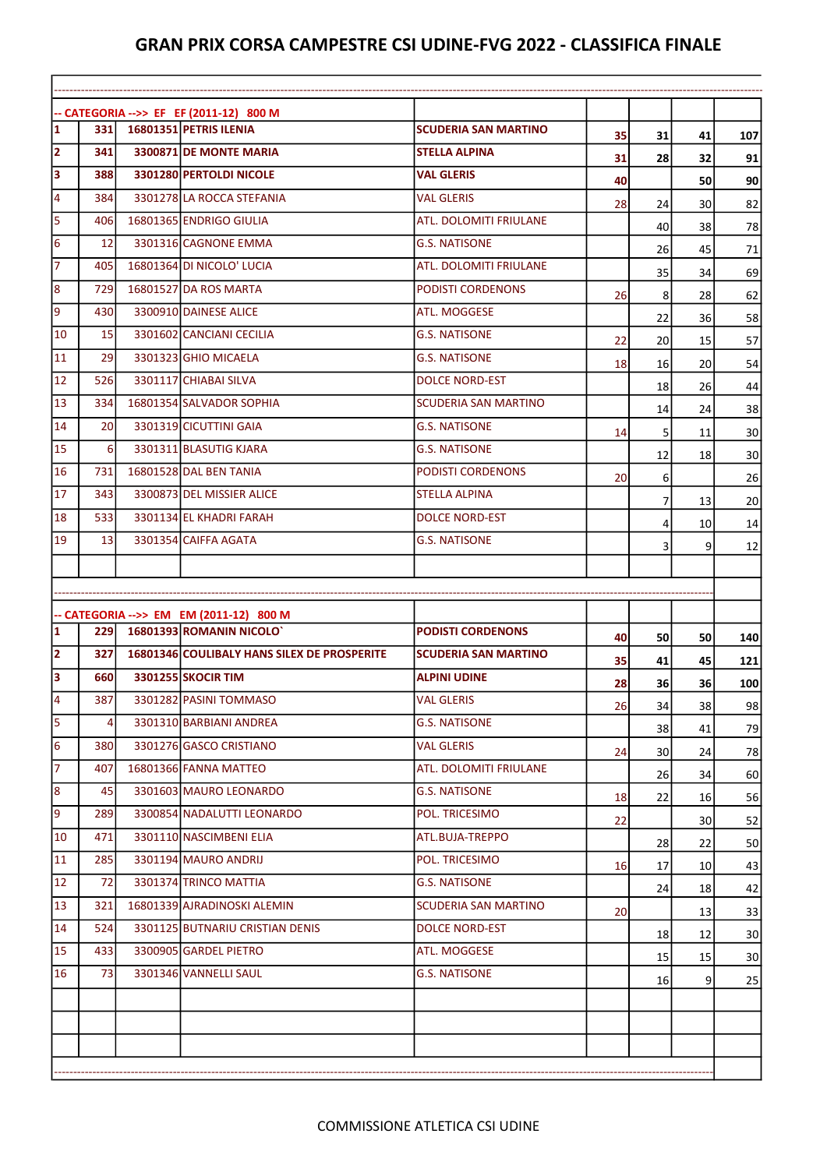$\mathbf{r}$ 

|                                                                                                                                            | -- CATEGORIA -->> EF EF (2011-12) 800 M |                                                                    |                               |     |    |                 |                                                                                                                    |
|--------------------------------------------------------------------------------------------------------------------------------------------|-----------------------------------------|--------------------------------------------------------------------|-------------------------------|-----|----|-----------------|--------------------------------------------------------------------------------------------------------------------|
| $\overline{\mathbf{1}}$                                                                                                                    | 331 I                                   | 16801351 PETRIS ILENIA                                             | <b>SCUDERIA SAN MARTINO</b>   | 35  | 31 | 41              | 107                                                                                                                |
| $\overline{2}$<br>$\overline{\mathbf{3}}$                                                                                                  | 341                                     | 3300871 DE MONTE MARIA                                             | <b>STELLA ALPINA</b>          | 31  | 28 | 32              | 91                                                                                                                 |
|                                                                                                                                            | 388                                     | 3301280 PERTOLDI NICOLE                                            | <b>VAL GLERIS</b>             | 40  |    | 50              | 90                                                                                                                 |
|                                                                                                                                            | 384                                     | 3301278 LA ROCCA STEFANIA                                          | <b>VAL GLERIS</b>             | 28  | 24 | 30              | 82                                                                                                                 |
|                                                                                                                                            | 406                                     | 16801365 ENDRIGO GIULIA                                            | ATL. DOLOMITI FRIULANE        |     | 40 | 38              | 78                                                                                                                 |
|                                                                                                                                            | 12                                      | 3301316 CAGNONE EMMA                                               | <b>G.S. NATISONE</b>          |     | 26 | 45              | 71                                                                                                                 |
|                                                                                                                                            | 405                                     | 16801364 DI NICOLO' LUCIA                                          | <b>ATL. DOLOMITI FRIULANE</b> |     | 35 | 34              | 69                                                                                                                 |
|                                                                                                                                            | 729                                     | 16801527 DA ROS MARTA                                              | <b>PODISTI CORDENONS</b>      | 26  | 8  | 28              | 62                                                                                                                 |
|                                                                                                                                            | 430                                     | 3300910 DAINESE ALICE                                              | ATL. MOGGESE                  |     | 22 | 36              | 58                                                                                                                 |
| 10                                                                                                                                         | 15                                      | 3301602 CANCIANI CECILIA                                           | <b>G.S. NATISONE</b>          | 22  | 20 | 15              | 57                                                                                                                 |
| 11                                                                                                                                         | 29                                      | 3301323 GHIO MICAELA                                               | <b>G.S. NATISONE</b>          | 18  | 16 | 20              | 54                                                                                                                 |
| 12                                                                                                                                         | 526                                     | 3301117 CHIABAI SILVA                                              | <b>DOLCE NORD-EST</b>         |     | 18 | 26              | 44                                                                                                                 |
| 13                                                                                                                                         | 334                                     | 16801354 SALVADOR SOPHIA                                           | <b>SCUDERIA SAN MARTINO</b>   |     | 14 | 24              | 38                                                                                                                 |
| 14                                                                                                                                         | <b>20</b>                               | 3301319 CICUTTINI GAIA                                             | <b>G.S. NATISONE</b>          | 14  | 5  | 11              | 30                                                                                                                 |
| 15                                                                                                                                         | 6                                       | 3301311 BLASUTIG KJARA                                             | <b>G.S. NATISONE</b>          |     | 12 | 18              | 30                                                                                                                 |
| 16                                                                                                                                         | 731                                     | 16801528 DAL BEN TANIA                                             | PODISTI CORDENONS             | 20I | 6  |                 | 26                                                                                                                 |
| 17                                                                                                                                         | 343                                     | 3300873 DEL MISSIER ALICE                                          | <b>STELLA ALPINA</b>          |     | 7  | 13              | 20                                                                                                                 |
|                                                                                                                                            | 533                                     | 3301134 EL KHADRI FARAH                                            | <b>DOLCE NORD-EST</b>         |     | 4  | 10              | 14                                                                                                                 |
|                                                                                                                                            |                                         |                                                                    |                               |     |    |                 |                                                                                                                    |
|                                                                                                                                            | 13                                      | 3301354 CAIFFA AGATA                                               | <b>G.S. NATISONE</b>          |     |    |                 |                                                                                                                    |
| 18<br>19                                                                                                                                   |                                         |                                                                    |                               |     | 3  | 9               | 12                                                                                                                 |
|                                                                                                                                            |                                         |                                                                    |                               |     |    |                 |                                                                                                                    |
|                                                                                                                                            |                                         |                                                                    |                               |     |    |                 |                                                                                                                    |
|                                                                                                                                            | 2291                                    | -- CATEGORIA -->> EM EM (2011-12) 800 M<br>16801393 ROMANIN NICOLO | <b>PODISTI CORDENONS</b>      | 40  |    |                 |                                                                                                                    |
|                                                                                                                                            | 327I                                    | 16801346 COULIBALY HANS SILEX DE PROSPERITE                        | <b>SCUDERIA SAN MARTINO</b>   |     | 50 | 50<br>45        | 140                                                                                                                |
|                                                                                                                                            | 660                                     | <b>3301255 SKOCIR TIM</b>                                          | <b>ALPINI UDINE</b>           | 35  | 41 |                 |                                                                                                                    |
|                                                                                                                                            | 387                                     | 3301282 PASINI TOMMASO                                             | <b>VAL GLERIS</b>             | 28  | 36 | 36              |                                                                                                                    |
|                                                                                                                                            | $\overline{4}$                          | 3301310 BARBIANI ANDREA                                            | G.S. NATISONE                 | 26  | 34 | 38              |                                                                                                                    |
|                                                                                                                                            | <b>380</b>                              | 3301276 GASCO CRISTIANO                                            | VAL GLERIS                    |     | 38 | 41              |                                                                                                                    |
|                                                                                                                                            | 407                                     | 16801366 FANNA MATTEO                                              | ATL. DOLOMITI FRIULANE        | 24  | 30 | 24              |                                                                                                                    |
|                                                                                                                                            | 45                                      | 3301603 MAURO LEONARDO                                             | G.S. NATISONE                 |     | 26 | 34              |                                                                                                                    |
|                                                                                                                                            | <b>2891</b>                             | 3300854 NADALUTTI LEONARDO                                         | POL. TRICESIMO                | 18  | 22 | 16              |                                                                                                                    |
|                                                                                                                                            | 471                                     | 3301110 NASCIMBENI ELIA                                            | ATL.BUJA-TREPPO               | 22  |    | 30 <sup>2</sup> |                                                                                                                    |
|                                                                                                                                            | 285                                     | 3301194 MAURO ANDRIJ                                               | POL. TRICESIMO                |     | 28 | 22              |                                                                                                                    |
|                                                                                                                                            | 72                                      | 3301374 TRINCO MATTIA                                              | G.S. NATISONE                 | 16  | 17 | 10 <sup>1</sup> |                                                                                                                    |
|                                                                                                                                            | 321I                                    | 16801339 AJRADINOSKI ALEMIN                                        | SCUDERIA SAN MARTINO          |     | 24 | 18              |                                                                                                                    |
|                                                                                                                                            | 524                                     | 3301125 BUTNARIU CRISTIAN DENIS                                    | <b>DOLCE NORD-EST</b>         | 20I |    | 13              |                                                                                                                    |
|                                                                                                                                            | 433                                     |                                                                    | ATL. MOGGESE                  |     | 18 | 12              |                                                                                                                    |
| $\overline{\mathbf{1}}$<br>2<br>3<br>$\overline{4}$<br>5<br>6<br>$\overline{7}$<br>8<br>$\overline{9}$<br>10<br>11<br>12<br>13<br>14<br>15 |                                         | 3300905 GARDEL PIETRO                                              |                               |     | 15 | 15              |                                                                                                                    |
| 16                                                                                                                                         | 73                                      | 3301346 VANNELLI SAUL                                              | <b>G.S. NATISONE</b>          |     | 16 | 9 <sup>1</sup>  | 121<br>100<br>98<br>79<br>78<br>60<br>56<br>52<br>50<br>43<br>42<br>33<br>30 <sup>2</sup><br>30 <sup>2</sup><br>25 |
|                                                                                                                                            |                                         |                                                                    |                               |     |    |                 |                                                                                                                    |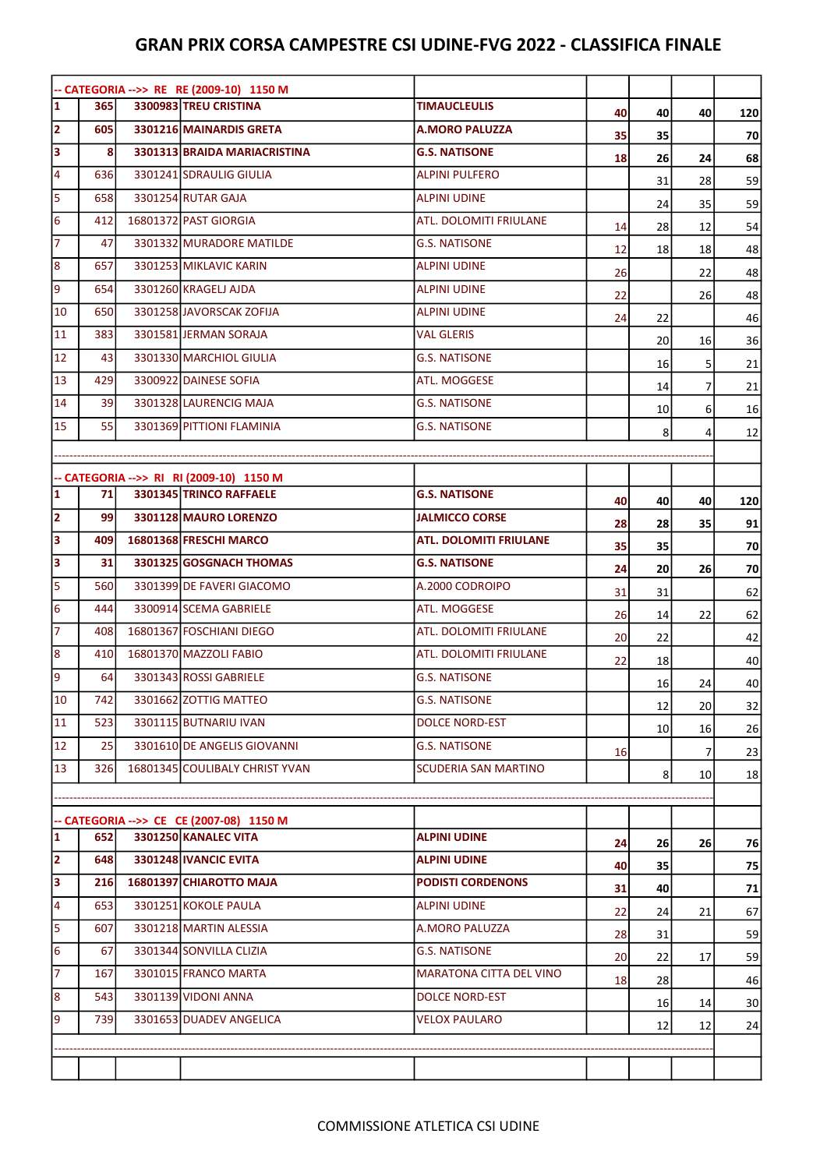|                         |            | -- CATEGORIA -->> RE RE (2009-10) 1150 M |                                |           |                 |    |                 |
|-------------------------|------------|------------------------------------------|--------------------------------|-----------|-----------------|----|-----------------|
| $\overline{\mathbf{1}}$ | <b>365</b> | 3300983 TREU CRISTINA                    | <b>TIMAUCLEULIS</b>            | 40        | 40              | 40 | 120             |
| $\overline{\mathbf{2}}$ | 605        | 3301216 MAINARDIS GRETA                  | <b>A.MORO PALUZZA</b>          | 35        | 35              |    | 70              |
| 3                       | 8          | 3301313 BRAIDA MARIACRISTINA             | <b>G.S. NATISONE</b>           | <b>18</b> | 26              | 24 | 68              |
| 4                       | 636        | 3301241 SDRAULIG GIULIA                  | <b>ALPINI PULFERO</b>          |           | 31              | 28 | 59              |
| 5                       | 658        | 3301254 RUTAR GAJA                       | <b>ALPINI UDINE</b>            |           | 24              | 35 | 59              |
| $6\phantom{1}6$         | 412        | 16801372 PAST GIORGIA                    | <b>ATL. DOLOMITI FRIULANE</b>  | 14        | 28              | 12 | 54              |
| 7                       | 47         | 3301332 MURADORE MATILDE                 | <b>G.S. NATISONE</b>           | 12        | 18              | 18 | 48              |
| $\bf 8$                 | 657        | 3301253 MIKLAVIC KARIN                   | <b>ALPINI UDINE</b>            | 26        |                 | 22 | 48              |
| $\overline{9}$          | 654        | 3301260 KRAGELJ AJDA                     | <b>ALPINI UDINE</b>            | 22        |                 | 26 | 48              |
| 10                      | 650        | 3301258 JAVORSCAK ZOFIJA                 | <b>ALPINI UDINE</b>            | 24        | 22              |    | 46              |
| 11                      | 383        | 3301581 JERMAN SORAJA                    | <b>VAL GLERIS</b>              |           | 20              | 16 | 36              |
| 12                      | 43         | 3301330 MARCHIOL GIULIA                  | <b>G.S. NATISONE</b>           |           | 16              | 5  | 21              |
| 13                      | 429        | 3300922 DAINESE SOFIA                    | ATL. MOGGESE                   |           | 14              | 7  | 21              |
| 14                      | 39         | 3301328 LAURENCIG MAJA                   | <b>G.S. NATISONE</b>           |           | 10 <sub>l</sub> | 6  | 16              |
| 15                      | 55         | 3301369 PITTIONI FLAMINIA                | <b>G.S. NATISONE</b>           |           | 8               | 4  | 12              |
|                         |            |                                          |                                |           |                 |    |                 |
|                         |            | -- CATEGORIA -->> RI RI (2009-10) 1150 M |                                |           |                 |    |                 |
| $\mathbf{1}$            | 71         | 3301345 TRINCO RAFFAELE                  | <b>G.S. NATISONE</b>           | 40        | 40              | 40 | 120             |
| $\overline{2}$          | 99 l       | 3301128 MAURO LORENZO                    | <b>JALMICCO CORSE</b>          | 28        | 28              | 35 | 91              |
| 3                       | 409        | 16801368 FRESCHI MARCO                   | <b>ATL. DOLOMITI FRIULANE</b>  | 35        | 35              |    | 70              |
| 3                       | 31         | 3301325 GOSGNACH THOMAS                  | <b>G.S. NATISONE</b>           | 24        | 20              | 26 | 70              |
| 5                       | 560        | 3301399 DE FAVERI GIACOMO                | A.2000 CODROIPO                | 31        | 31              |    | 62              |
| $6\overline{6}$         | 444        | 3300914 SCEMA GABRIELE                   | ATL. MOGGESE                   | 26        | 14              | 22 | 62              |
| $\overline{7}$          | 408        | 16801367 FOSCHIANI DIEGO                 | ATL. DOLOMITI FRIULANE         | 20        | 22              |    | 42              |
| 8                       | 410        | 16801370 MAZZOLI FABIO                   | <b>ATL. DOLOMITI FRIULANE</b>  | 22        | 18              |    | 40              |
| 9                       | 64         | 3301343 ROSSI GABRIELE                   | <b>G.S. NATISONE</b>           |           | 16              | 24 | 40              |
| 10                      | 742        | 3301662 ZOTTIG MATTEO                    | <b>G.S. NATISONE</b>           |           | 12              | 20 | 32              |
| 11                      | 523        | 3301115 BUTNARIU IVAN                    | <b>DOLCE NORD-EST</b>          |           | 10 <sub>l</sub> | 16 | 26              |
| 12                      | 25         | 3301610 DE ANGELIS GIOVANNI              | <b>G.S. NATISONE</b>           | <b>16</b> |                 | 7  | 23              |
| 13                      | 326        | 16801345 COULIBALY CHRIST YVAN           | <b>SCUDERIA SAN MARTINO</b>    |           | 8               | 10 | 18              |
|                         |            |                                          |                                |           |                 |    |                 |
|                         |            | -- CATEGORIA -->> CE CE (2007-08) 1150 M |                                |           |                 |    |                 |
| $\mathbf{1}$            | 652        | 3301250 KANALEC VITA                     | <b>ALPINI UDINE</b>            | 24        | 26              | 26 | 76              |
| $\overline{\mathbf{2}}$ | 648        | 3301248 IVANCIC EVITA                    | <b>ALPINI UDINE</b>            | 40        | 35              |    | 75              |
| 3                       | <b>216</b> | 16801397 CHIAROTTO MAJA                  | <b>PODISTI CORDENONS</b>       | 31        | 40              |    | 71              |
| 4                       | 653        | 3301251 KOKOLE PAULA                     | <b>ALPINI UDINE</b>            | 22        | 24              | 21 | 67              |
| 5                       | 607        | 3301218 MARTIN ALESSIA                   | A.MORO PALUZZA                 | 28        | 31              |    | 59              |
| 6                       | 67         | 3301344 SONVILLA CLIZIA                  | <b>G.S. NATISONE</b>           | 20        | 22              | 17 | 59              |
| 7                       | 167        | 3301015 FRANCO MARTA                     | <b>MARATONA CITTA DEL VINO</b> | 18        | 28              |    | 46              |
| 8                       | 543        | 3301139 VIDONI ANNA                      | <b>DOLCE NORD-EST</b>          |           | 16              | 14 | 30 <sup>2</sup> |
| 9                       | 739        | 3301653 DUADEV ANGELICA                  | <b>VELOX PAULARO</b>           |           | 12              | 12 | 24              |
|                         |            |                                          |                                |           |                 |    |                 |
|                         |            |                                          |                                |           |                 |    |                 |
|                         |            |                                          |                                |           |                 |    |                 |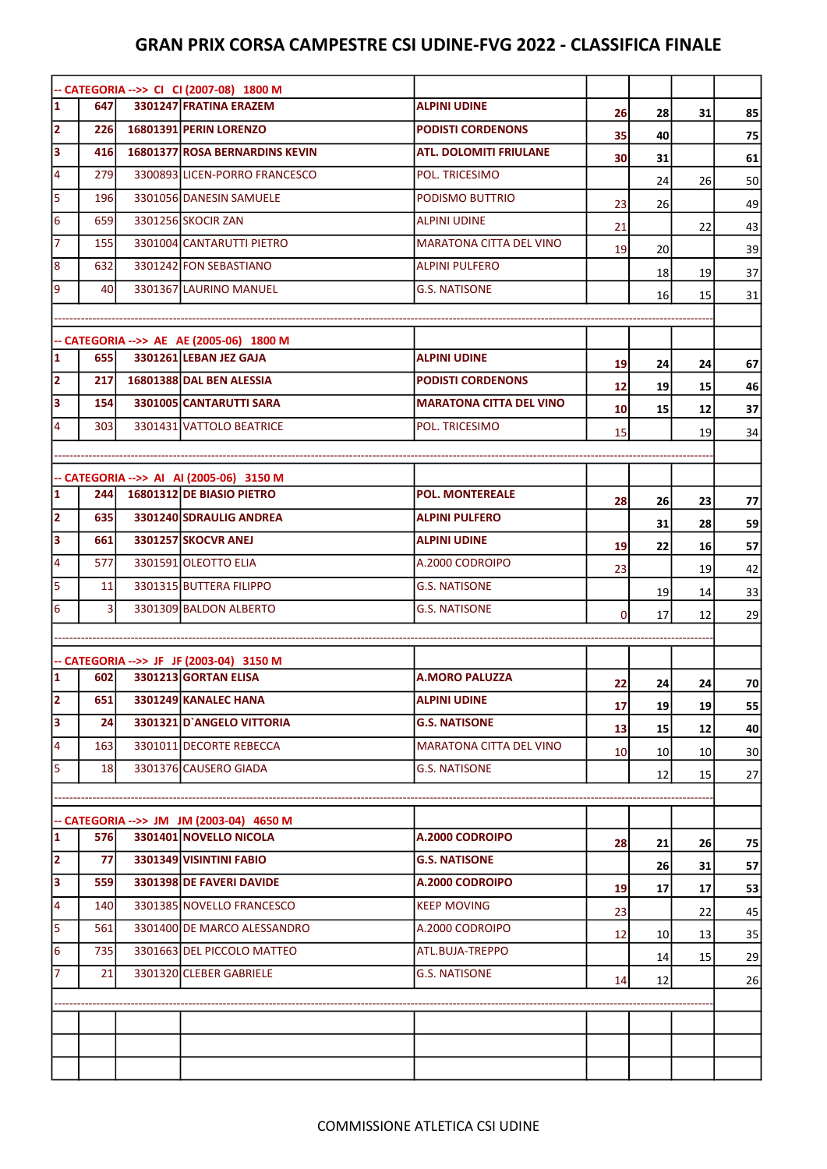|                         |                | -- CATEGORIA -->> CI CI (2007-08) 1800 M                           |                                |          |                 |                 |                 |
|-------------------------|----------------|--------------------------------------------------------------------|--------------------------------|----------|-----------------|-----------------|-----------------|
| $\overline{\mathbf{1}}$ | 647            | 3301247 FRATINA ERAZEM                                             | <b>ALPINI UDINE</b>            | 26       | 28              | 31              | 85              |
| $\overline{\mathbf{2}}$ | 226l           | 16801391 PERIN LORENZO                                             | <b>PODISTI CORDENONS</b>       | 35       | 40              |                 | 75              |
| 3                       | 416            | <b>16801377 ROSA BERNARDINS KEVIN</b>                              | <b>ATL. DOLOMITI FRIULANE</b>  | 30       | 31              |                 | 61              |
| $\overline{\mathbf{4}}$ | 279            | 3300893 LICEN-PORRO FRANCESCO                                      | POL. TRICESIMO                 |          | 24              | 26              | 50              |
| 5                       | 196            | 3301056 DANESIN SAMUELE                                            | PODISMO BUTTRIO                | 23       | 26              |                 | 49              |
| 6                       | 659            | 3301256 SKOCIR ZAN                                                 | <b>ALPINI UDINE</b>            | 21       |                 | 22              | 43              |
| $\overline{7}$          | 155            | 3301004 CANTARUTTI PIETRO                                          | <b>MARATONA CITTA DEL VINO</b> | 19       | 20              |                 | 39              |
| $\boldsymbol{8}$        | 632            | 3301242 FON SEBASTIANO                                             | <b>ALPINI PULFERO</b>          |          | 18              | 19              | 37              |
| 9                       | 40             | 3301367 LAURINO MANUEL                                             | <b>G.S. NATISONE</b>           |          | 16              | 15              | 31              |
|                         |                |                                                                    |                                |          |                 |                 |                 |
|                         |                | -- CATEGORIA -->> AE AE (2005-06) 1800 M                           |                                |          |                 |                 |                 |
| $\overline{\mathbf{1}}$ | 655l           | 3301261 LEBAN JEZ GAJA                                             | <b>ALPINI UDINE</b>            | 19       | 24              | 24              | 67              |
| $\overline{\mathbf{2}}$ | 217            | 16801388 DAL BEN ALESSIA                                           | <b>PODISTI CORDENONS</b>       | 12       | 19              | 15              | 46              |
| 3                       | 154            | 3301005 CANTARUTTI SARA                                            | <b>MARATONA CITTA DEL VINO</b> | 10       | 15              | 12              | 37              |
| 4                       | 303            | 3301431 VATTOLO BEATRICE                                           | POL. TRICESIMO                 | 15       |                 | 19              | 34              |
|                         |                |                                                                    |                                |          |                 |                 |                 |
|                         |                | -- CATEGORIA -->> AI AI (2005-06) 3150 M                           |                                |          |                 |                 |                 |
| $\mathbf{1}$            | 244            | 16801312 DE BIASIO PIETRO                                          | <b>POL. MONTEREALE</b>         | 28       | 26              | 23              | 77              |
| $\overline{\mathbf{2}}$ | 635            | 3301240 SDRAULIG ANDREA                                            | <b>ALPINI PULFERO</b>          |          | 31              | 28              | 59              |
| 3                       | 661            | <b>3301257 SKOCVR ANEJ</b>                                         | <b>ALPINI UDINE</b>            | 19       | 22              | 16              | 57              |
| $\overline{\mathbf{4}}$ | 577            | 3301591 OLEOTTO ELIA                                               | A.2000 CODROIPO                | 23       |                 | 19              | 42              |
| 5                       | 11             | 3301315 BUTTERA FILIPPO                                            | <b>G.S. NATISONE</b>           |          | 19              | 14              | 33              |
| 6                       | $\overline{3}$ | 3301309 BALDON ALBERTO                                             | <b>G.S. NATISONE</b>           | $\Omega$ | 17              | 12              | 29              |
|                         |                |                                                                    |                                |          |                 |                 |                 |
|                         |                | -- CATEGORIA -->> JF JF (2003-04) 3150 M                           |                                |          |                 |                 |                 |
| $\vert$ 1               | 602            | 3301213 GORTAN ELISA                                               | <b>A.MORO PALUZZA</b>          | 22       | 24              | 24              | 70              |
| $\overline{2}$          | 651            | 3301249 KANALEC HANA                                               | <b>ALPINI UDINE</b>            | 17       | 19              | 19              | 55              |
| 3                       | 24             | 3301321 D'ANGELO VITTORIA                                          | <b>G.S. NATISONE</b>           | 13       | 15              | 12              | 40              |
| 4                       | 163            | 3301011 DECORTE REBECCA                                            | <b>MARATONA CITTA DEL VINO</b> | 10       | 10 <sub>l</sub> | 10 <sup>1</sup> | 30 <sup>2</sup> |
| 5                       | 18             | 3301376 CAUSERO GIADA                                              | <b>G.S. NATISONE</b>           |          | 12              | 15              | 27              |
|                         |                |                                                                    |                                |          |                 |                 |                 |
|                         |                |                                                                    |                                |          |                 |                 |                 |
| $\mathbf{1}$            | 576            | -- CATEGORIA -->> JM JM (2003-04) 4650 M<br>3301401 NOVELLO NICOLA | A.2000 CODROIPO                |          |                 |                 |                 |
| $\overline{2}$          | 77             | 3301349 VISINTINI FABIO                                            | <b>G.S. NATISONE</b>           | 28       | 21<br>26        | 26              | 75              |
| 3                       | <b>559</b>     | 3301398 DE FAVERI DAVIDE                                           | A.2000 CODROIPO                |          |                 | 31              | 57              |
| $\overline{4}$          | 140            | 3301385 NOVELLO FRANCESCO                                          | <b>KEEP MOVING</b>             | 19       | 17              | 17              | 53              |
| 5                       | 561            | 3301400 DE MARCO ALESSANDRO                                        | A.2000 CODROIPO                | 23       |                 | 22              | 45              |
| 6                       | 735            | 3301663 DEL PICCOLO MATTEO                                         | ATL.BUJA-TREPPO                | 12       | 10 <sub>l</sub> | 13              | 35              |
| 7                       | 21             | 3301320 CLEBER GABRIELE                                            | <b>G.S. NATISONE</b>           |          | 14              | 15              | 29              |
|                         |                |                                                                    |                                | 14       | 12              |                 | 26              |
|                         |                |                                                                    |                                |          |                 |                 |                 |
|                         |                |                                                                    |                                |          |                 |                 |                 |
|                         |                |                                                                    |                                |          |                 |                 |                 |
|                         |                |                                                                    |                                |          |                 |                 |                 |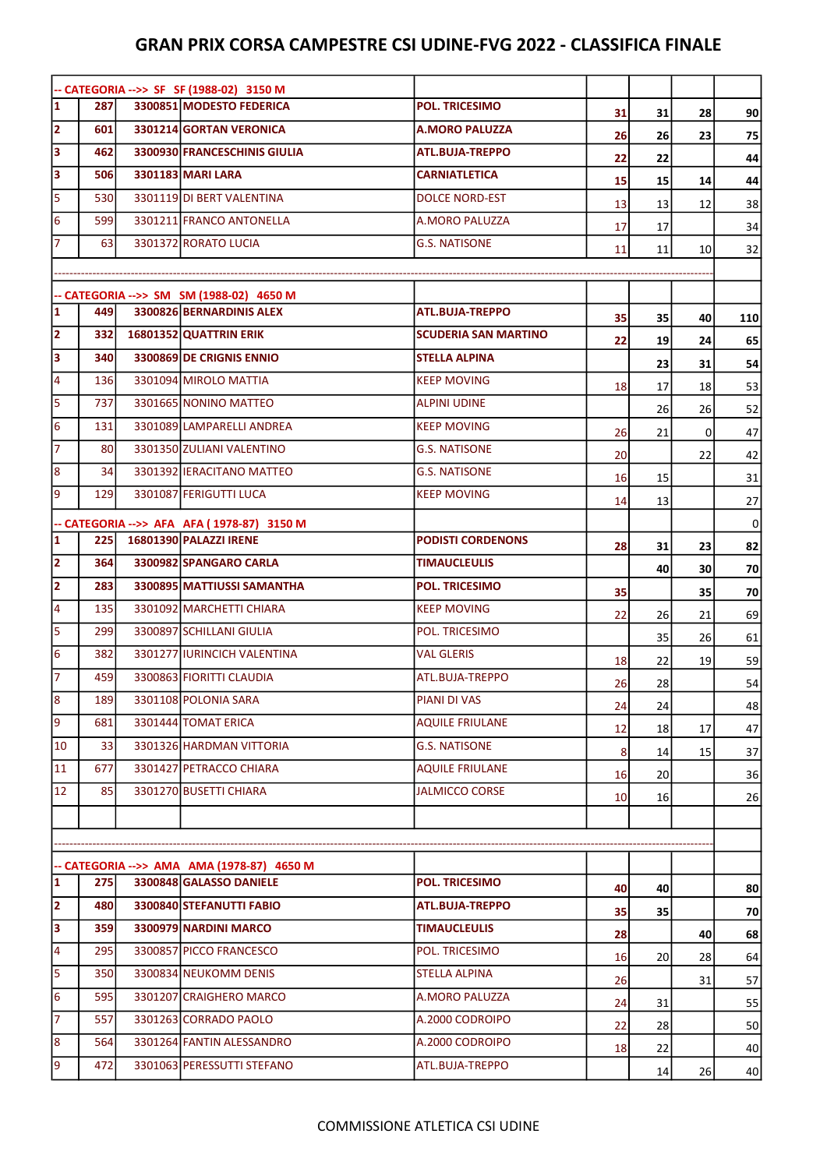|                                   |            | -- CATEGORIA -->> SF SF (1988-02) 3150 M                              |                             |                |                 |    |     |
|-----------------------------------|------------|-----------------------------------------------------------------------|-----------------------------|----------------|-----------------|----|-----|
| $\overline{\mathbf{1}}$           | 287        | 3300851 MODESTO FEDERICA                                              | <b>POL. TRICESIMO</b>       | 31             | 31              | 28 | 90  |
| $\overline{\mathbf{2}}$           | 601        | 3301214 GORTAN VERONICA                                               | <b>A.MORO PALUZZA</b>       | 26             | 26              | 23 | 75  |
| $\overline{\mathbf{3}}$           | 462        | 3300930 FRANCESCHINIS GIULIA                                          | <b>ATL.BUJA-TREPPO</b>      | 22             | 22              |    | 44  |
| $\overline{\mathbf{3}}$           | 506        | 3301183 MARI LARA                                                     | <b>CARNIATLETICA</b>        | 15             | 15              | 14 | 44  |
| $\overline{5}$                    | 530        | 3301119 DI BERT VALENTINA                                             | <b>DOLCE NORD-EST</b>       | 13             | 13              | 12 | 38  |
| 6                                 | 599        | 3301211 FRANCO ANTONELLA                                              | <b>A.MORO PALUZZA</b>       | 17             | 17              |    | 34  |
| 7                                 | 63         | 3301372 RORATO LUCIA                                                  | <b>G.S. NATISONE</b>        | 11             | 11              | 10 | 32  |
|                                   |            |                                                                       |                             |                |                 |    |     |
|                                   |            | -- CATEGORIA -->> SM SM (1988-02) 4650 M                              |                             |                |                 |    |     |
| $\overline{\mathbf{1}}$           | 449        | 3300826 BERNARDINIS ALEX                                              | <b>ATL.BUJA-TREPPO</b>      | 35             | 35              | 40 | 110 |
| $\overline{\mathbf{2}}$           | 332        | 16801352 QUATTRIN ERIK                                                | <b>SCUDERIA SAN MARTINO</b> | 22             | 19              | 24 | 65  |
| $\overline{\mathbf{3}}$           | <b>340</b> | 3300869 DE CRIGNIS ENNIO                                              | <b>STELLA ALPINA</b>        |                | 23              | 31 | 54  |
| $\overline{\mathbf{4}}$           | 136        | 3301094 MIROLO MATTIA                                                 | <b>KEEP MOVING</b>          | 18             | 17              | 18 | 53  |
| $\overline{5}$                    | 737        | 3301665 NONINO MATTEO                                                 | <b>ALPINI UDINE</b>         |                | 26              | 26 | 52  |
| $6\phantom{1}6$                   | 131        | 3301089 LAMPARELLI ANDREA                                             | <b>KEEP MOVING</b>          | 26             | 21              | 0  | 47  |
|                                   | 80         | 3301350 ZULIANI VALENTINO                                             | <b>G.S. NATISONE</b>        | 20             |                 | 22 | 42  |
| 8                                 | 34         | 3301392 IERACITANO MATTEO                                             | <b>G.S. NATISONE</b>        | 16             | 15              |    | 31  |
| $\overline{9}$                    | 129        | 3301087 FERIGUTTI LUCA                                                | <b>KEEP MOVING</b>          | 14             | 13              |    | 27  |
|                                   |            | -- CATEGORIA -->> AFA AFA (1978-87) 3150 M                            |                             |                |                 |    | 0   |
| $\overline{\mathbf{1}}$           | <b>225</b> | 16801390 PALAZZI IRENE                                                | <b>PODISTI CORDENONS</b>    | 28             | 31              | 23 | 82  |
| 2                                 | 364        | 3300982 SPANGARO CARLA                                                | <b>TIMAUCLEULIS</b>         |                | 40              | 30 | 70  |
| $\overline{\mathbf{2}}$           | 283        | 3300895 MATTIUSSI SAMANTHA                                            | <b>POL. TRICESIMO</b>       | 35             |                 | 35 | 70  |
|                                   | 135        | 3301092 MARCHETTI CHIARA                                              | <b>KEEP MOVING</b>          | 22             | 26              | 21 | 69  |
|                                   | 299        | 3300897 SCHILLANI GIULIA                                              | POL. TRICESIMO              |                | 35              | 26 | 61  |
|                                   | 382        | 3301277 IURINCICH VALENTINA                                           | VAL GLERIS                  | 18             | 22              | 19 | 59  |
|                                   | 459        | 3300863 FIORITTI CLAUDIA                                              | ATL.BUJA-TREPPO             | 26             | 28              |    | 54  |
|                                   | 189        | 3301108 POLONIA SARA                                                  | <b>PIANI DI VAS</b>         |                |                 |    |     |
| 9                                 | 681        | 3301444 TOMAT ERICA                                                   | <b>AQUILE FRIULANE</b>      | 24             | 24              |    | 48  |
| 10                                | 33         | 3301326 HARDMAN VITTORIA                                              | G.S. NATISONE               | 12             | 18              | 17 | 47  |
| 11                                | 677        | 3301427 PETRACCO CHIARA                                               | <b>AQUILE FRIULANE</b>      | 8 <sup>1</sup> | 14              | 15 | 37  |
| 12                                | 85         | 3301270 BUSETTI CHIARA                                                | <b>JALMICCO CORSE</b>       | 16             | 20 <sup>1</sup> |    | 36  |
|                                   |            |                                                                       |                             | 10             | 16              |    | 26  |
|                                   |            |                                                                       |                             |                |                 |    |     |
|                                   |            |                                                                       |                             |                |                 |    |     |
| 1                                 | 2751       | -- CATEGORIA -->> AMA AMA (1978-87) 4650 M<br>3300848 GALASSO DANIELE | <b>POL. TRICESIMO</b>       |                |                 |    |     |
| 2                                 | 480        | 3300840 STEFANUTTI FABIO                                              | ATL.BUJA-TREPPO             | 40             | 40              |    | 80  |
| $\overline{\mathbf{3}}$           | 359        | 3300979 NARDINI MARCO                                                 | <b>TIMAUCLEULIS</b>         | 35             | 35              |    | 70  |
| $\overline{4}$                    | 295        | 3300857 PICCO FRANCESCO                                               | POL. TRICESIMO              | 28             |                 | 40 | 68  |
|                                   | 350        | 3300834 NEUKOMM DENIS                                                 | <b>STELLA ALPINA</b>        | 16             | 20              | 28 | 64  |
| $\overline{5}$<br>$6\phantom{1}6$ | 595        | 3301207 CRAIGHERO MARCO                                               | A.MORO PALUZZA              | 26             |                 | 31 | 57  |
| $\overline{7}$                    | 557        | 3301263 CORRADO PAOLO                                                 | A.2000 CODROIPO             | 24             | 31              |    | 55  |
|                                   |            | 3301264 FANTIN ALESSANDRO                                             |                             | 22             | 28              |    | 50  |
| 8                                 | 564        |                                                                       | A.2000 CODROIPO             | 18             | 22              |    | 40  |
| 9                                 | 472        | 3301063 PERESSUTTI STEFANO                                            | ATL.BUJA-TREPPO             |                | 14              | 26 | 40  |

#### COMMISSIONE ATLETICA CSI UDINE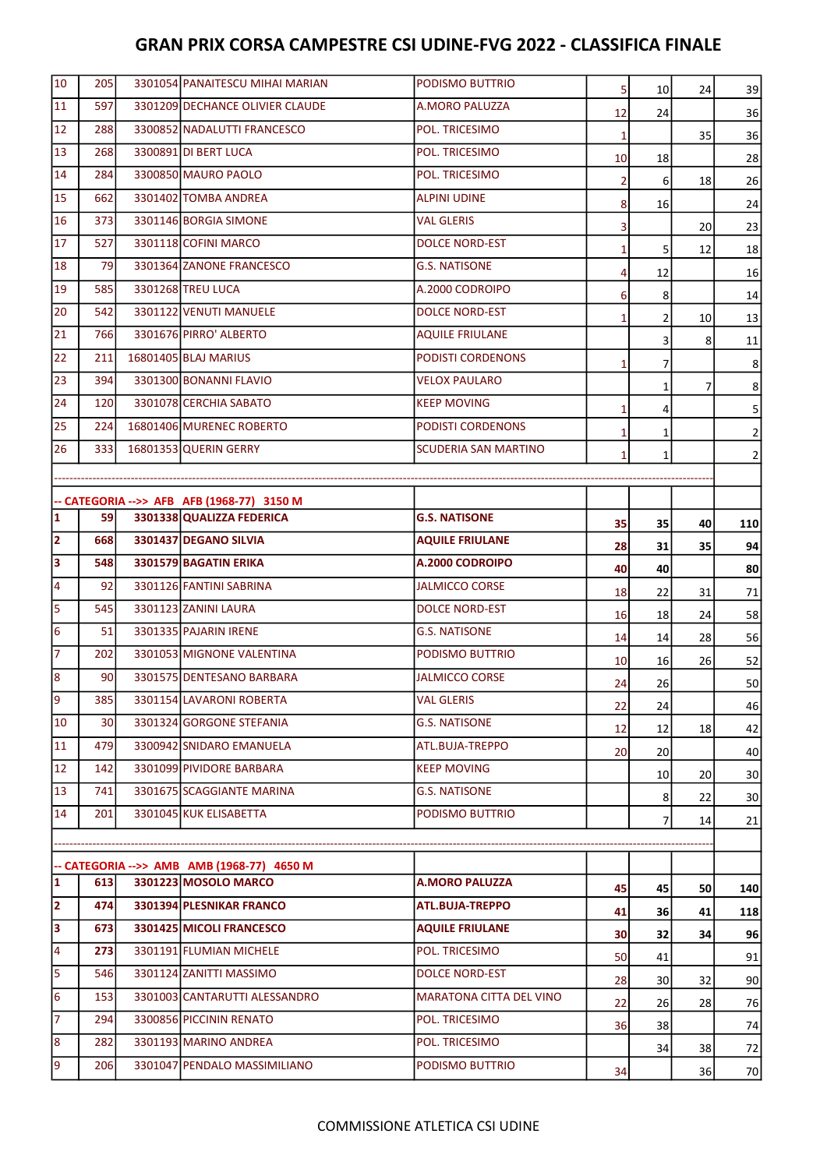| 10                      | 205        | 3301054 PANAITESCU MIHAI MARIAN            | PODISMO BUTTRIO                | 5               | 10              | 24 | 39              |
|-------------------------|------------|--------------------------------------------|--------------------------------|-----------------|-----------------|----|-----------------|
| 11                      | 597        | 3301209 DECHANCE OLIVIER CLAUDE            | A.MORO PALUZZA                 | 12              | 24              |    | 36              |
| 12                      | 288        | 3300852 NADALUTTI FRANCESCO                | POL. TRICESIMO                 | $1\overline{ }$ |                 | 35 | 36              |
| 13                      | 268        | 3300891 DI BERT LUCA                       | POL. TRICESIMO                 | <b>10</b>       | 18              |    | 28              |
| 14                      | 284        | 3300850 MAURO PAOLO                        | POL. TRICESIMO                 | $\overline{2}$  | 6               | 18 | 26              |
| 15                      | 662        | 3301402 TOMBA ANDREA                       | <b>ALPINI UDINE</b>            | 8               | 16              |    | 24              |
| 16                      | 373        | 3301146 BORGIA SIMONE                      | <b>VAL GLERIS</b>              | 3               |                 | 20 | 23              |
| 17                      | 527        | 3301118 COFINI MARCO                       | <b>DOLCE NORD-EST</b>          | $\mathbf{1}$    | 5               | 12 | 18              |
| 18                      | 79         | 3301364 ZANONE FRANCESCO                   | <b>G.S. NATISONE</b>           | 4               | 12              |    | 16              |
| 19                      | 585        | 3301268 TREU LUCA                          | A.2000 CODROIPO                | 6               | 8               |    | 14              |
| 20                      | 542        | 3301122 VENUTI MANUELE                     | <b>DOLCE NORD-EST</b>          | $\mathbf{1}$    | 2               | 10 | 13              |
| 21                      | 766        | 3301676 PIRRO' ALBERTO                     | <b>AQUILE FRIULANE</b>         |                 | 3               | 8  | 11              |
| 22                      | 211        | 16801405 BLAJ MARIUS                       | PODISTI CORDENONS              | $\mathbf{1}$    | 7               |    | 8               |
| 23                      | 394I       | 3301300 BONANNI FLAVIO                     | <b>VELOX PAULARO</b>           |                 | 1               | 7  | 8               |
| 24                      | <b>120</b> | 3301078 CERCHIA SABATO                     | <b>KEEP MOVING</b>             | $\mathbf{1}$    | 4               |    | 5               |
| 25                      | 224        | 16801406 MURENEC ROBERTO                   | PODISTI CORDENONS              | $\mathbf{1}$    | 1               |    | 2               |
| 26                      | 333I       | 16801353 QUERIN GERRY                      | SCUDERIA SAN MARTINO           | $\mathbf{1}$    | 1               |    | 2               |
|                         |            |                                            |                                |                 |                 |    |                 |
|                         |            | -- CATEGORIA -->> AFB AFB (1968-77) 3150 M |                                |                 |                 |    |                 |
| $\mathbf{1}$            | 59         | 3301338 QUALIZZA FEDERICA                  | <b>G.S. NATISONE</b>           | 35              | 35              | 40 | 110             |
| $\overline{\mathbf{2}}$ | 668        | 3301437 DEGANO SILVIA                      | <b>AQUILE FRIULANE</b>         | 28              | 31              | 35 | 94              |
| 3                       | 548        | 3301579 BAGATIN ERIKA                      | A.2000 CODROIPO                | 40              | 40              |    | 80              |
| 4                       | 92         | 3301126 FANTINI SABRINA                    | <b>JALMICCO CORSE</b>          | 18              | 22              | 31 | 71              |
| 5                       | 545        | 3301123 ZANINI LAURA                       | <b>DOLCE NORD-EST</b>          | 16              | 18              | 24 | 58              |
| $6\phantom{1}6$         | 51         | 3301335 PAJARIN IRENE                      | <b>G.S. NATISONE</b>           | 14              | 14              | 28 | 56              |
| $\overline{7}$          | 202        | 3301053 MIGNONE VALENTINA                  | PODISMO BUTTRIO                | <b>10</b>       | 16              | 26 | 52              |
| 8                       | 90         | 3301575 DENTESANO BARBARA                  | <b>JALMICCO CORSE</b>          | 24              | 26              |    | 50              |
| 19                      | 385        | 3301154 LAVARONI ROBERTA                   | <b>VAL GLERIS</b>              | 22              | 24              |    | 46              |
| 10                      | 30         | 3301324 GORGONE STEFANIA                   | <b>G.S. NATISONE</b>           | 12              | 12              | 18 | 42              |
| 11                      | 479        | 3300942 SNIDARO EMANUELA                   | ATL.BUJA-TREPPO                | 20              | 20 <sub>l</sub> |    | 40              |
| 12                      | 142        | 3301099 PIVIDORE BARBARA                   | <b>KEEP MOVING</b>             |                 | 10              | 20 | 30 <sup>2</sup> |
| 13                      | 741        | 3301675 SCAGGIANTE MARINA                  | <b>G.S. NATISONE</b>           |                 | 8               | 22 | 30 <sup>2</sup> |
| 14                      | 201        | 3301045 KUK ELISABETTA                     | PODISMO BUTTRIO                |                 | 7               | 14 | 21              |
|                         |            |                                            |                                |                 |                 |    |                 |
|                         |            | -- CATEGORIA -->> AMB AMB (1968-77) 4650 M |                                |                 |                 |    |                 |
| 1                       | 613        | 3301223 MOSOLO MARCO                       | <b>A.MORO PALUZZA</b>          | 45              | 45              | 50 | 140             |
| $\overline{2}$          | 474 I      | 3301394 PLESNIKAR FRANCO                   | ATL.BUJA-TREPPO                | 41              | 36              | 41 | 118             |
| Ιз                      | 6731       | 3301425 MICOLI FRANCESCO                   | <b>AQUILE FRIULANE</b>         | 30              | 32              | 34 | 96              |
| 4                       | 273        | 3301191 FLUMIAN MICHELE                    | POL. TRICESIMO                 | 50              | 41              |    | 91              |
| 5                       | 546        | 3301124 ZANITTI MASSIMO                    | <b>DOLCE NORD-EST</b>          | 28              | 30 <sup>1</sup> | 32 | 90              |
| 6                       | 153        | 3301003 CANTARUTTI ALESSANDRO              | <b>MARATONA CITTA DEL VINO</b> | 22              | 26              | 28 | 76              |
| 7                       | 294        | 3300856 PICCININ RENATO                    | POL. TRICESIMO                 | 36              | 38              |    | 74              |
| 8                       | 282        | 3301193 MARINO ANDREA                      | POL. TRICESIMO                 |                 | 34              | 38 | 72              |
| 9                       | <b>206</b> | 3301047 PENDALO MASSIMILIANO               | PODISMO BUTTRIO                | 34              |                 | 36 | 70              |
|                         |            |                                            |                                |                 |                 |    |                 |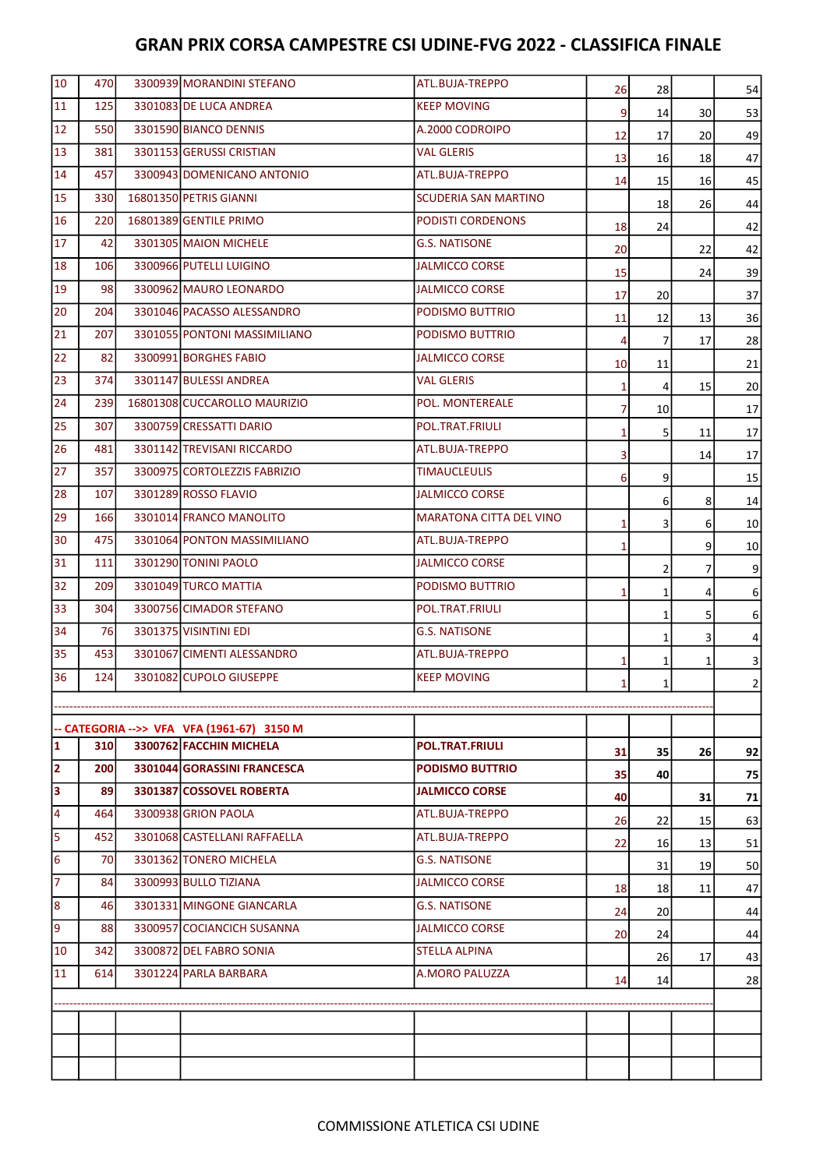| 10                      | 470  | 3300939 MORANDINI STEFANO                  | ATL.BUJA-TREPPO                | 26             | 28              |                 | 54              |
|-------------------------|------|--------------------------------------------|--------------------------------|----------------|-----------------|-----------------|-----------------|
| 11                      | 125  | 3301083 DE LUCA ANDREA                     | <b>KEEP MOVING</b>             | 9              | 14              | 30 <sup>2</sup> | 53              |
| 12                      | 550  | 3301590 BIANCO DENNIS                      | A.2000 CODROIPO                | 12             | 17              | 20              | 49              |
| 13                      | 381  | 3301153 GERUSSI CRISTIAN                   | <b>VAL GLERIS</b>              | 13             | 16              | 18              | 47              |
| 14                      | 457  | 3300943 DOMENICANO ANTONIO                 | ATL.BUJA-TREPPO                | 14             | 15              | 16              | 45              |
| 15                      | 330l | 16801350 PETRIS GIANNI                     | <b>SCUDERIA SAN MARTINO</b>    |                | 18              | 26              | 44              |
| 16                      | 220  | 16801389 GENTILE PRIMO                     | <b>PODISTI CORDENONS</b>       | 18             | 24              |                 | 42              |
| 17                      | 42   | 3301305 MAION MICHELE                      | <b>G.S. NATISONE</b>           | 20             |                 | 22              | 42              |
| 18                      | 106  | 3300966 PUTELLI LUIGINO                    | <b>JALMICCO CORSE</b>          | 15             |                 | 24              | 39              |
| 19                      | 98   | 3300962 MAURO LEONARDO                     | <b>JALMICCO CORSE</b>          | 17             | 20              |                 | 37              |
| 20                      | 204  | 3301046 PACASSO ALESSANDRO                 | PODISMO BUTTRIO                | 11             | 12              | 13              | 36              |
| 21                      | 207  | 3301055 PONTONI MASSIMILIANO               | PODISMO BUTTRIO                | $\overline{4}$ | $\overline{7}$  | 17              | 28              |
| 22                      | 82   | 3300991 BORGHES FABIO                      | <b>JALMICCO CORSE</b>          | 10             | 11              |                 | 21              |
| 23                      | 374  | 3301147 BULESSI ANDREA                     | VAL GLERIS                     | $\mathbf{1}$   | $\overline{4}$  | 15              | 20              |
| 24                      | 239  | 16801308 CUCCAROLLO MAURIZIO               | POL. MONTEREALE                | $\overline{7}$ | 10 <sub>l</sub> |                 | 17              |
| 25                      | 307  | 3300759 CRESSATTI DARIO                    | POL.TRAT.FRIULI                | $\mathbf{1}$   | $\mathsf{S}$    | 11              | 17              |
| 26                      | 481  | 3301142 TREVISANI RICCARDO                 | ATL.BUJA-TREPPO                | 3              |                 | 14              | 17              |
| 27                      | 357  | 3300975 CORTOLEZZIS FABRIZIO               | <b>TIMAUCLEULIS</b>            | 6              | 9               |                 | 15              |
| 28                      | 107  | 3301289 ROSSO FLAVIO                       | <b>JALMICCO CORSE</b>          |                | 6               | 8               | 14              |
| 29                      | 166  | 3301014 FRANCO MANOLITO                    | <b>MARATONA CITTA DEL VINO</b> | $\mathbf{1}$   | 3               | 6               | 10 <sup>1</sup> |
| 30                      | 475  | 3301064 PONTON MASSIMILIANO                | ATL.BUJA-TREPPO                | $\mathbf{1}$   |                 | 9               | 10 <sup>1</sup> |
| 31                      | 111  | 3301290 TONINI PAOLO                       | <b>JALMICCO CORSE</b>          |                | $\overline{2}$  | 7               | 9               |
| 32                      | 209  | 3301049 TURCO MATTIA                       | PODISMO BUTTRIO                | $\mathbf{1}$   | 1               | 4               | $6 \mid$        |
| 33                      | 304  | 3300756 CIMADOR STEFANO                    | POL.TRAT.FRIULI                |                | 1               | 5               | 6               |
| 34                      | 76   | 3301375 VISINTINI EDI                      | <b>G.S. NATISONE</b>           |                | 1               | 3               | 4               |
| 35                      | 453  | 3301067 CIMENTI ALESSANDRO                 | ATL.BUJA-TREPPO                | $\mathbf{1}$   | 1               | 1               | 3               |
| 36                      | 124  | 3301082 CUPOLO GIUSEPPE                    | <b>KEEP MOVING</b>             | $\mathbf{1}$   | $\mathbf 1$     |                 | 2               |
|                         |      |                                            |                                |                |                 |                 |                 |
|                         |      | -- CATEGORIA -->> VFA VFA (1961-67) 3150 M |                                |                |                 |                 |                 |
| $\mathbf{1}$            | 310  | 3300762 FACCHIN MICHELA                    | <b>POL.TRAT.FRIULI</b>         | 31             | 35              | 26              | 92              |
| $\overline{\mathbf{2}}$ | 200  | 3301044 GORASSINI FRANCESCA                | <b>PODISMO BUTTRIO</b>         | 35             | 40              |                 | 75              |
| 3                       | 89   | 3301387 COSSOVEL ROBERTA                   | <b>JALMICCO CORSE</b>          | 40             |                 | 31              | 71              |
| 4                       | 464I | 3300938 GRION PAOLA                        | ATL.BUJA-TREPPO                | 26             | 22              | 15              | 63              |
| 5                       | 452  | 3301068 CASTELLANI RAFFAELLA               | ATL.BUJA-TREPPO                | 22             | 16              | 13              | 51              |
| 6                       | 70   | 3301362 TONERO MICHELA                     | <b>G.S. NATISONE</b>           |                | 31              | 19              | 50              |
| $\overline{7}$          | 84   | 3300993 BULLO TIZIANA                      | <b>JALMICCO CORSE</b>          | 18             | 18              | 11              | 47              |
| 8                       | 46   | 3301331 MINGONE GIANCARLA                  | <b>G.S. NATISONE</b>           | 24             | 20              |                 | 44              |
| 9                       | 88   | 3300957 COCIANCICH SUSANNA                 | <b>JALMICCO CORSE</b>          | 20             | 24              |                 | 44              |
| 10                      | 342  | 3300872 DEL FABRO SONIA                    | <b>STELLA ALPINA</b>           |                | 26              | 17              | 43              |
| 11                      | 614  | 3301224 PARLA BARBARA                      | A.MORO PALUZZA                 | 14             | 14              |                 | 28              |
|                         |      |                                            |                                |                |                 |                 |                 |
|                         |      |                                            |                                |                |                 |                 |                 |
|                         |      |                                            |                                |                |                 |                 |                 |
|                         |      |                                            |                                |                |                 |                 |                 |
|                         |      |                                            |                                |                |                 |                 |                 |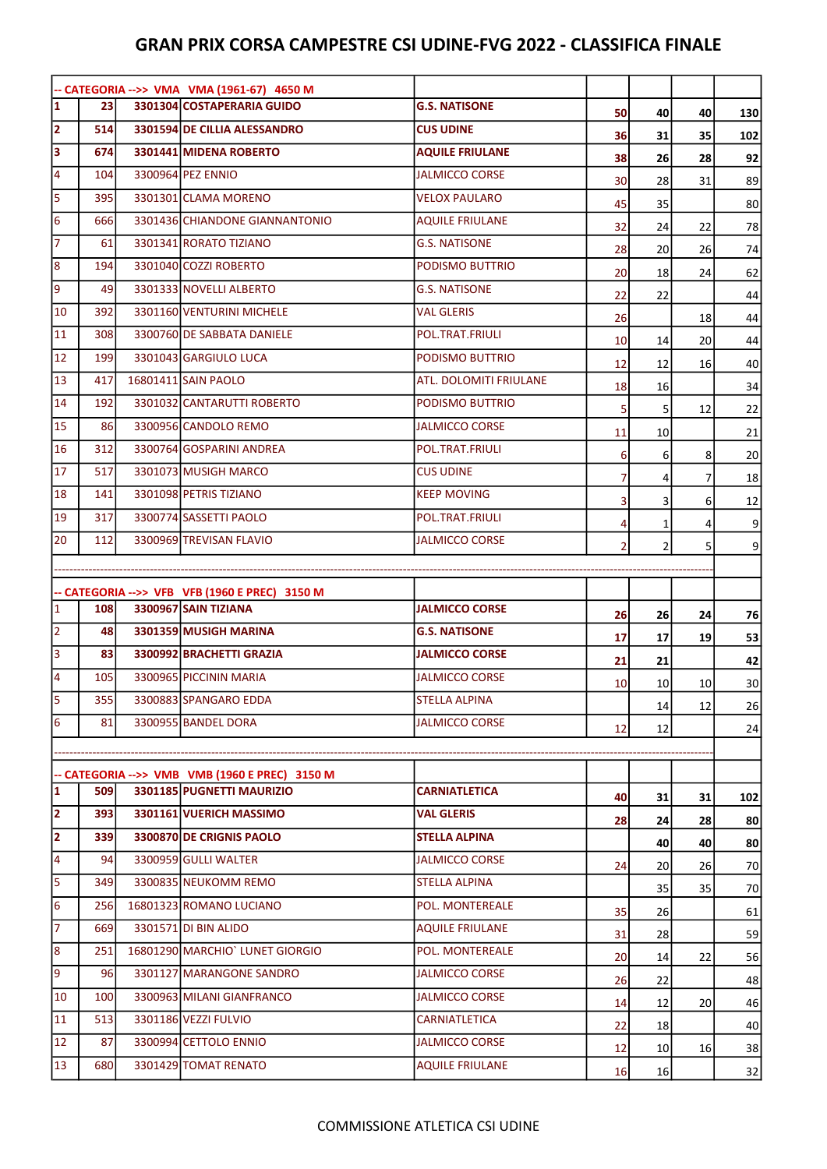|                         |            | -- CATEGORIA -->> VMA VMA (1961-67) 4650 M                                  |                        |                |                       |                 |                 |
|-------------------------|------------|-----------------------------------------------------------------------------|------------------------|----------------|-----------------------|-----------------|-----------------|
| $\mathbf{1}$            | <b>231</b> | 3301304 COSTAPERARIA GUIDO                                                  | <b>G.S. NATISONE</b>   | 50             | 40                    | 40              | 130             |
| $\overline{\mathbf{2}}$ | 514        | 3301594 DE CILLIA ALESSANDRO                                                | <b>CUS UDINE</b>       | 36             | 31                    | 35              | 102             |
| 3                       | 674        | 3301441 MIDENA ROBERTO                                                      | <b>AQUILE FRIULANE</b> | 38             | 26                    | 28              | 92              |
| $\overline{4}$          | 104        | 3300964 PEZ ENNIO                                                           | <b>JALMICCO CORSE</b>  | 30             | 28                    | 31              | 89              |
| 5                       | 395        | 3301301 CLAMA MORENO                                                        | <b>VELOX PAULARO</b>   | 45             | 35                    |                 | 80              |
| $6\overline{6}$         | 666        | 3301436 CHIANDONE GIANNANTONIO                                              | <b>AQUILE FRIULANE</b> | 32             | 24                    | 22              | 78              |
| $\overline{7}$          | 61         | 3301341 RORATO TIZIANO                                                      | <b>G.S. NATISONE</b>   | 28             | 20                    | 26              | 74              |
| $\boldsymbol{8}$        | 194        | 3301040 COZZI ROBERTO                                                       | PODISMO BUTTRIO        | 20             | 18                    | 24              | 62              |
| 9                       | 49         | 3301333 NOVELLI ALBERTO                                                     | <b>G.S. NATISONE</b>   | 22             | 22                    |                 | 44              |
| 10                      | 392        | 3301160 VENTURINI MICHELE                                                   | <b>VAL GLERIS</b>      | 26             |                       | 18              | 44              |
| 11                      | 308        | 3300760 DE SABBATA DANIELE                                                  | POL.TRAT.FRIULI        | 10             | 14                    | 20              | 44              |
| 12                      | 199        | 3301043 GARGIULO LUCA                                                       | PODISMO BUTTRIO        | 12             | 12                    | 16              | 40              |
| 13                      | 417        | 16801411 SAIN PAOLO                                                         | ATL. DOLOMITI FRIULANE | 18             | 16                    |                 | 34              |
| 14                      | 192        | 3301032 CANTARUTTI ROBERTO                                                  | PODISMO BUTTRIO        | 5              | 5                     | 12              | 22              |
| 15                      | 86         | 3300956 CANDOLO REMO                                                        | JALMICCO CORSE         | 11             | 10                    |                 | 21              |
| 16                      | 312        | 3300764 GOSPARINI ANDREA                                                    | POL.TRAT.FRIULI        | 6              | 6                     | 8               | 20              |
| 17                      | 517        | 3301073 MUSIGH MARCO                                                        | <b>CUS UDINE</b>       | $\overline{7}$ | 4                     | 7               | 18              |
| 18                      | 141        | 3301098 PETRIS TIZIANO                                                      | <b>KEEP MOVING</b>     | 3              | 3                     | 6               | 12              |
| 19                      | 317        | 3300774 SASSETTI PAOLO                                                      | POL.TRAT.FRIULI        | 4              | 1                     | 4               | 9               |
| 20                      | 112        | 3300969 TREVISAN FLAVIO                                                     | <b>JALMICCO CORSE</b>  | $\overline{2}$ | 2                     | 5               | 9               |
|                         |            |                                                                             |                        |                |                       |                 |                 |
|                         |            | -- CATEGORIA -->> VFB VFB (1960 E PREC) 3150 M                              |                        |                |                       |                 |                 |
|                         |            |                                                                             |                        |                |                       |                 |                 |
| $\mathbf{1}$            | <b>108</b> | 3300967 SAIN TIZIANA                                                        | <b>JALMICCO CORSE</b>  | 26             | 26                    | 24              | 76              |
| $\overline{2}$          | 48         | 3301359 MUSIGH MARINA                                                       | <b>G.S. NATISONE</b>   | 17             | 17                    | 19              |                 |
| $\overline{\mathbf{3}}$ | 83         | 3300992 BRACHETTI GRAZIA                                                    | <b>JALMICCO CORSE</b>  | 21             | 21                    |                 | 53              |
| $\overline{4}$          | 105        | 3300965 PICCININ MARIA                                                      | <b>JALMICCO CORSE</b>  |                |                       |                 | 42              |
|                         | 355        | 3300883 SPANGARO EDDA                                                       | <b>STELLA ALPINA</b>   | <b>10</b>      | 10 <sub>l</sub>       | 10              | 30 <sup>2</sup> |
| 5<br>6                  | 81         | 3300955 BANDEL DORA                                                         | <b>JALMICCO CORSE</b>  |                | 14                    | 12              | 26              |
|                         |            |                                                                             |                        | 12             | 12                    |                 | 24              |
|                         |            |                                                                             |                        |                |                       |                 |                 |
| $\mathbf{1}$            | 509        | -- CATEGORIA -->> VMB VMB (1960 E PREC) 3150 M<br>3301185 PUGNETTI MAURIZIO | <b>CARNIATLETICA</b>   | 40             |                       |                 |                 |
|                         | 393        | 3301161 VUERICH MASSIMO                                                     | <b>VAL GLERIS</b>      |                | 31                    | 31              | 102             |
| $\overline{\mathbf{2}}$ | 339        | 3300870 DE CRIGNIS PAOLO                                                    | <b>STELLA ALPINA</b>   | 28             | 24                    | 28              | 80              |
| 4                       | 94         | 3300959 GULLI WALTER                                                        | <b>JALMICCO CORSE</b>  |                | 40                    | 40              | 80              |
| 5                       | 349        | 3300835 NEUKOMM REMO                                                        | <b>STELLA ALPINA</b>   | 24             | 20 <sub>l</sub>       | 26              | 70              |
| $6\overline{6}$         | 256        | 16801323 ROMANO LUCIANO                                                     | POL. MONTEREALE        |                | 35                    | 35              | 70              |
| 2<br>7                  | 669        | 3301571 DI BIN ALIDO                                                        | <b>AQUILE FRIULANE</b> | 35             | 26                    |                 | 61              |
| 8                       | 251        | 16801290 MARCHIO LUNET GIORGIO                                              | POL. MONTEREALE        | 31             | 28                    |                 | 59              |
| 9                       | 96         | 3301127 MARANGONE SANDRO                                                    | <b>JALMICCO CORSE</b>  | 20             | 14                    | 22              | 56              |
| 10                      | 100        | 3300963 MILANI GIANFRANCO                                                   | <b>JALMICCO CORSE</b>  | 26             | 22                    |                 | 48              |
| 11                      | 513        | 3301186 VEZZI FULVIO                                                        | CARNIATLETICA          | 14             | 12                    | 20 <sup>2</sup> | 46              |
| 12                      | 87         | 3300994 CETTOLO ENNIO                                                       | JALMICCO CORSE         | 22             | 18                    |                 | 40              |
| 13                      | 680        | 3301429 TOMAT RENATO                                                        | <b>AQUILE FRIULANE</b> | 12<br>16       | 10 <sub>l</sub><br>16 | 16              | 38<br>32        |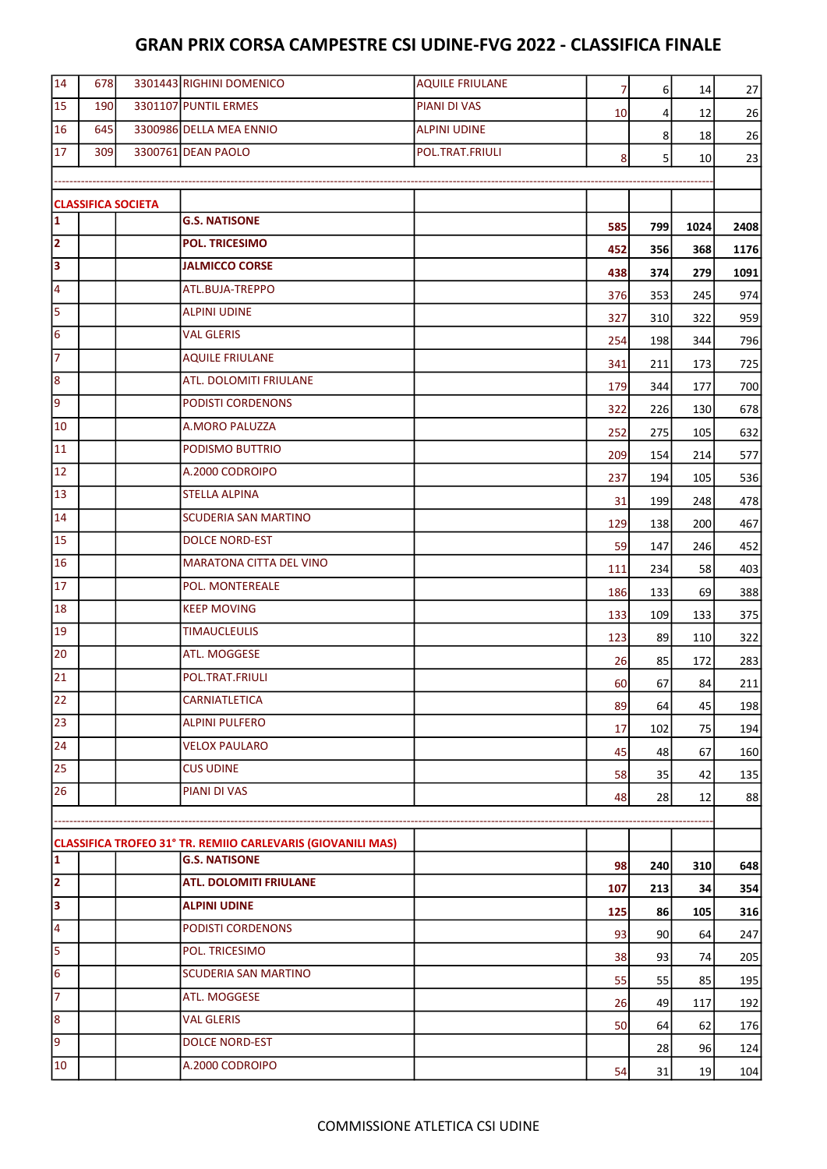| 14                      | 678 |                           | 3301443 RIGHINI DOMENICO                                    | <b>AQUILE FRIULANE</b> | $\overline{7}$ | $6 \overline{6}$ | 14              | 27   |
|-------------------------|-----|---------------------------|-------------------------------------------------------------|------------------------|----------------|------------------|-----------------|------|
| 15                      | 190 |                           | 3301107 PUNTIL ERMES                                        | PIANI DI VAS           | 10             | 4                | 12              | 26   |
| 16                      | 645 |                           | 3300986 DELLA MEA ENNIO                                     | <b>ALPINI UDINE</b>    |                | 8                | 18              | 26   |
| 17                      | 309 |                           | 3300761 DEAN PAOLO                                          | POL.TRAT.FRIULI        | 8              | 5                | 10 <sup>1</sup> | 23   |
|                         |     |                           |                                                             |                        |                |                  |                 |      |
|                         |     | <b>CLASSIFICA SOCIETA</b> |                                                             |                        |                |                  |                 |      |
| $\overline{\mathbf{1}}$ |     |                           | <b>G.S. NATISONE</b>                                        |                        | 585            | 799              | 1024            | 2408 |
| $\overline{2}$          |     |                           | <b>POL. TRICESIMO</b>                                       |                        | 452            | 356              | 368             | 1176 |
| 3                       |     |                           | <b>JALMICCO CORSE</b>                                       |                        | 438            | 374              | 279             | 1091 |
| $\overline{\mathbf{4}}$ |     |                           | ATL.BUJA-TREPPO                                             |                        | 376            | 353              | 245             | 974  |
| 5                       |     |                           | <b>ALPINI UDINE</b>                                         |                        | 327            | 310              | 322             | 959  |
| 6                       |     |                           | <b>VAL GLERIS</b>                                           |                        | 254            | 198              | 344             | 796  |
| $\overline{7}$          |     |                           | <b>AQUILE FRIULANE</b>                                      |                        | 341            | 211              | 173             | 725  |
| 8                       |     |                           | ATL. DOLOMITI FRIULANE                                      |                        | 179            | 344              | 177             | 700  |
| 9                       |     |                           | PODISTI CORDENONS                                           |                        | 322            | 226              | 130             | 678  |
| 10                      |     |                           | A.MORO PALUZZA                                              |                        | 252            | 275              | 105             | 632  |
| 11                      |     |                           | PODISMO BUTTRIO                                             |                        | 209            | 154              | 214             | 577  |
| 12                      |     |                           | A.2000 CODROIPO                                             |                        | 237            | 194              | 105             | 536  |
| 13                      |     |                           | <b>STELLA ALPINA</b>                                        |                        | 31             | 199              | 248             | 478  |
| 14                      |     |                           | SCUDERIA SAN MARTINO                                        |                        | 129            | 138              | 200             | 467  |
| 15                      |     |                           | <b>DOLCE NORD-EST</b>                                       |                        | 59             | 147              | 246             | 452  |
| 16                      |     |                           | <b>MARATONA CITTA DEL VINO</b>                              |                        | 111            | 234              | 58              | 403  |
| 17                      |     |                           | POL. MONTEREALE                                             |                        | 186            | 133              | 69              | 388  |
| 18                      |     |                           | <b>KEEP MOVING</b>                                          |                        | 133            | 109              | 133             | 375  |
| 19                      |     |                           | <b>TIMAUCLEULIS</b>                                         |                        | 123            | 89               | 110             | 322  |
| 20                      |     |                           | ATL. MOGGESE                                                |                        | 26             | 85               | 172             | 283  |
| 21                      |     |                           | POL.TRAT.FRIULI                                             |                        | 60             | 67               | 84              | 211  |
| $\overline{22}$         |     |                           | <b>CARNIATLETICA</b>                                        |                        | 89             | 64               | 45              | 198  |
| 23                      |     |                           | <b>ALPINI PULFERO</b>                                       |                        | 17             | 102              | 75              | 194  |
| 24                      |     |                           | <b>VELOX PAULARO</b>                                        |                        | 45             | 48               | 67              | 160  |
| 25                      |     |                           | <b>CUS UDINE</b>                                            |                        | 58             | 35               | 42              | 135  |
| 26                      |     |                           | PIANI DI VAS                                                |                        | 48             | 28               | 12              | 88   |
|                         |     |                           |                                                             |                        |                |                  |                 |      |
|                         |     |                           | CLASSIFICA TROFEO 31° TR. REMIIO CARLEVARIS (GIOVANILI MAS) |                        |                |                  |                 |      |
| 1                       |     |                           | <b>G.S. NATISONE</b>                                        |                        | 98             | 240              | 310             | 648  |
| $\overline{2}$          |     |                           | <b>ATL. DOLOMITI FRIULANE</b>                               |                        | 107            | 213              | 34              | 354  |
| 3                       |     |                           | <b>ALPINI UDINE</b>                                         |                        | 125            | 86               | 105             | 316  |
| $\overline{4}$          |     |                           | PODISTI CORDENONS                                           |                        | 93             | 90               | 64              | 247  |
| 5                       |     |                           | POL. TRICESIMO                                              |                        | 38             | 93               | 74              | 205  |
| 6                       |     |                           | <b>SCUDERIA SAN MARTINO</b>                                 |                        | 55             | 55               | 85              | 195  |
| $\overline{7}$          |     |                           | ATL. MOGGESE                                                |                        | 26             | 49               | 117             | 192  |
| 8                       |     |                           | <b>VAL GLERIS</b>                                           |                        | 50             | 64               | 62              | 176  |
| 9                       |     |                           | <b>DOLCE NORD-EST</b>                                       |                        |                | 28               | 96              | 124  |
| 10                      |     |                           | A.2000 CODROIPO                                             |                        | 54             | 31               | 19              | 104  |
|                         |     |                           |                                                             |                        |                |                  |                 |      |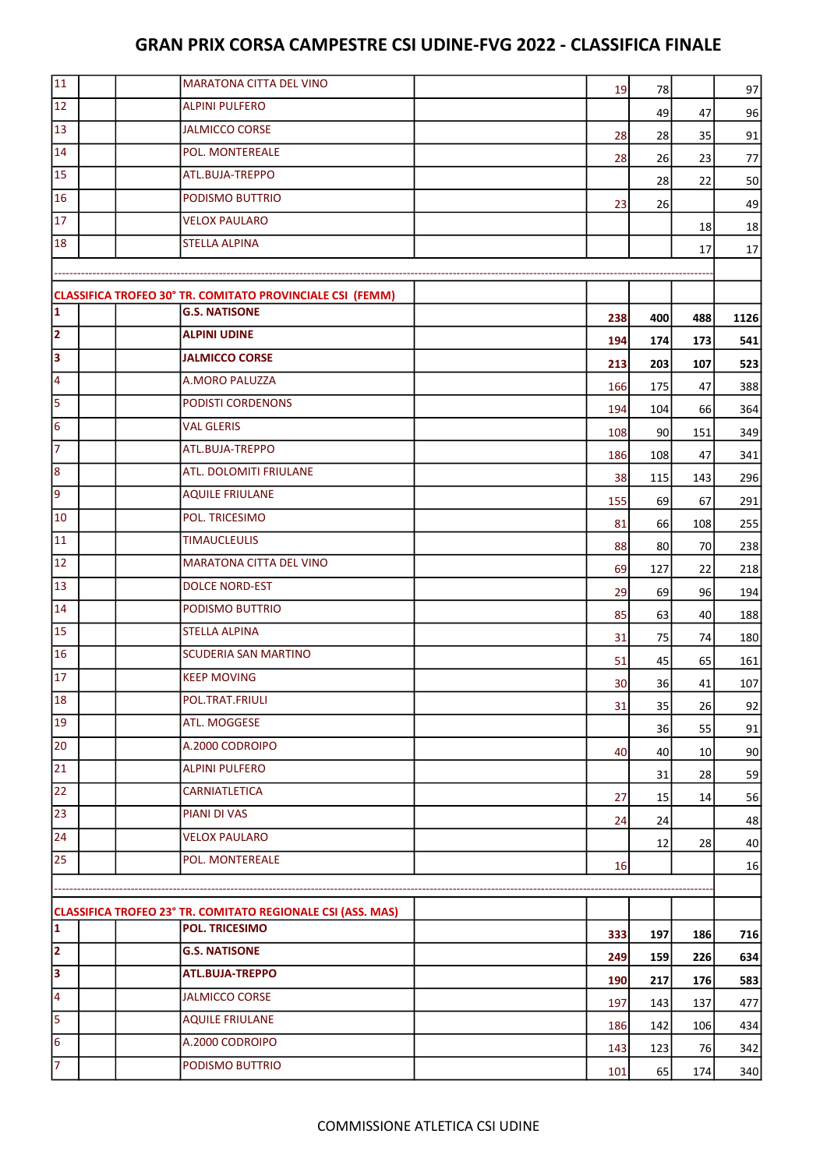| 11                      | <b>MARATONA CITTA DEL VINO</b>                                                       | 19  | 78  |                 | 97         |
|-------------------------|--------------------------------------------------------------------------------------|-----|-----|-----------------|------------|
| 12                      | <b>ALPINI PULFERO</b>                                                                |     | 49  | 47              | 96         |
| 13                      | <b>JALMICCO CORSE</b>                                                                | 28  | 28  | 35              | 91         |
| 14                      | POL. MONTEREALE                                                                      | 28  | 26  | 23              | 77         |
| 15                      | ATL.BUJA-TREPPO                                                                      |     | 28  | 22              | 50         |
| 16                      | PODISMO BUTTRIO                                                                      | 23  | 26  |                 | 49         |
| 17                      | <b>VELOX PAULARO</b>                                                                 |     |     | 18              | 18         |
| 18                      | <b>STELLA ALPINA</b>                                                                 |     |     | 17              | 17         |
|                         |                                                                                      |     |     |                 |            |
|                         | CLASSIFICA TROFEO 30° TR. COMITATO PROVINCIALE CSI (FEMM)                            |     |     |                 |            |
| 1                       | <b>G.S. NATISONE</b>                                                                 | 238 | 400 | 488             | 1126       |
| $\overline{2}$          | <b>ALPINI UDINE</b>                                                                  | 194 | 174 | 173             | 541        |
| $\overline{\mathbf{3}}$ | <b>JALMICCO CORSE</b>                                                                | 213 | 203 | 107             | 523        |
| 4                       | <b>A.MORO PALUZZA</b>                                                                | 166 | 175 | 47              | 388        |
| 5                       | PODISTI CORDENONS                                                                    | 194 | 104 | 66              | 364        |
| 6                       | <b>VAL GLERIS</b>                                                                    | 108 | 90  | 151             | 349        |
| $\overline{7}$          | ATL.BUJA-TREPPO                                                                      | 186 | 108 | 47              | 341        |
| 8                       | ATL. DOLOMITI FRIULANE                                                               | 38  | 115 | 143             | 296        |
| 9                       | <b>AQUILE FRIULANE</b>                                                               | 155 | 69  | 67              | 291        |
| 10                      | POL. TRICESIMO                                                                       | 81  | 66  | 108             | 255        |
| 11                      | <b>TIMAUCLEULIS</b>                                                                  | 88  | 80  | 70              | 238        |
| 12                      | <b>MARATONA CITTA DEL VINO</b>                                                       | 69  | 127 |                 |            |
| 13                      | <b>DOLCE NORD-EST</b>                                                                | 29  | 69  | 22<br>96        | 218<br>194 |
| $\overline{14}$         | PODISMO BUTTRIO                                                                      | 85  | 63  |                 | 188        |
| 15                      | <b>STELLA ALPINA</b>                                                                 | 31  | 75  | 40<br>74        |            |
| 16                      | <b>SCUDERIA SAN MARTINO</b>                                                          |     | 45  |                 | 180        |
| 17                      | <b>KEEP MOVING</b>                                                                   | 51  |     | 65              | 161        |
| 18                      | POL.TRAT.FRIULI                                                                      | 30  | 36  | 41              | 107        |
| 19                      | ATL. MOGGESE                                                                         | 31  | 35  | 26              | 92         |
| 20                      | A.2000 CODROIPO                                                                      |     | 36  | 55              | 91         |
| 21                      | <b>ALPINI PULFERO</b>                                                                | 40  | 40  | 10 <sup>1</sup> | 90         |
| 22                      | CARNIATLETICA                                                                        |     | 31  | 28              | 59         |
| 23                      | PIANI DI VAS                                                                         | 27  | 15  | 14              | 56         |
| 24                      | <b>VELOX PAULARO</b>                                                                 | 24  | 24  |                 | 48         |
| 25                      | POL. MONTEREALE                                                                      |     | 12  | 28              | 40         |
|                         |                                                                                      | 16  |     |                 | 16         |
|                         |                                                                                      |     |     |                 |            |
| 1                       | CLASSIFICA TROFEO 23° TR. COMITATO REGIONALE CSI (ASS. MAS)<br><b>POL. TRICESIMO</b> |     |     |                 |            |
| $\overline{2}$          | <b>G.S. NATISONE</b>                                                                 | 333 | 197 | 186             | 716        |
| 3                       | ATL.BUJA-TREPPO                                                                      | 249 | 159 | 226             | 634        |
| 4                       | <b>JALMICCO CORSE</b>                                                                | 190 | 217 | 176             | 583        |
|                         |                                                                                      | 197 | 143 | 137             | 477        |
| 5                       | <b>AQUILE FRIULANE</b>                                                               | 186 | 142 | 106             | 434        |
| 6                       | A.2000 CODROIPO                                                                      | 143 | 123 | 76              | 342        |
| $\overline{7}$          | PODISMO BUTTRIO                                                                      | 101 | 65  | 174             | 340        |